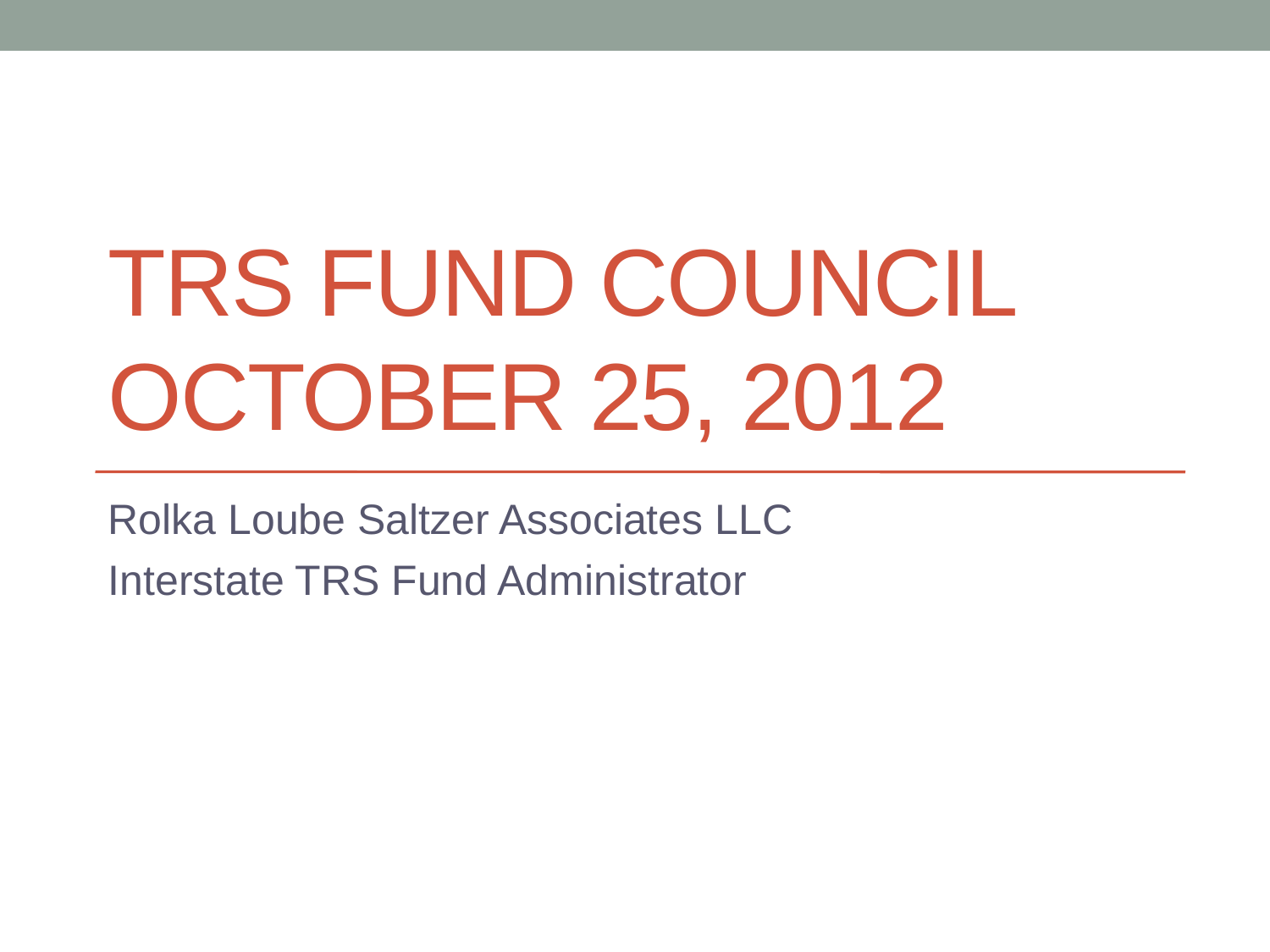# TRS FUND COUNCIL OCTOBER 25, 2012

Rolka Loube Saltzer Associates LLC Interstate TRS Fund Administrator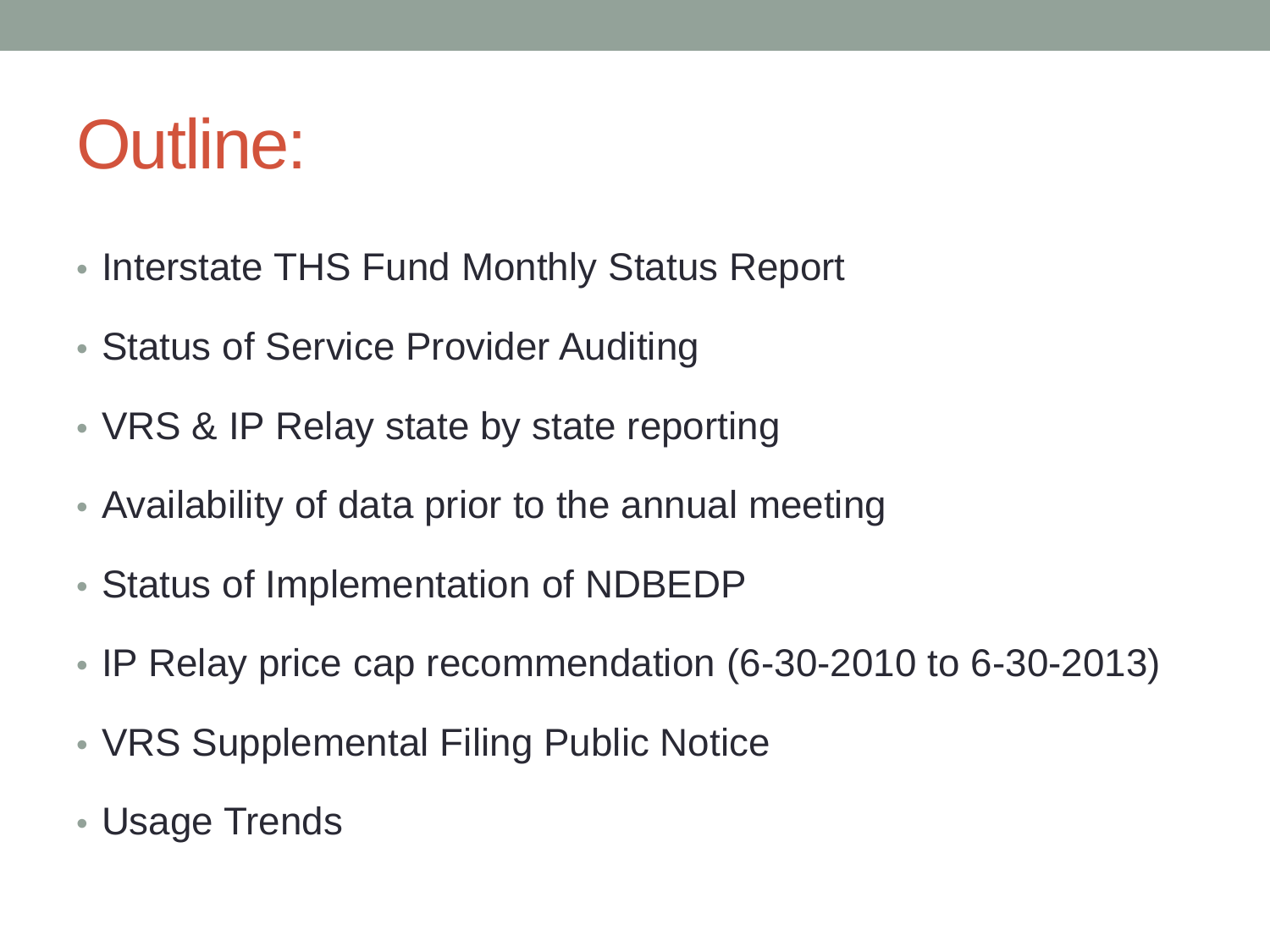### Outline:

- Interstate THS Fund Monthly Status Report
- Status of Service Provider Auditing
- VRS & IP Relay state by state reporting
- Availability of data prior to the annual meeting
- Status of Implementation of NDBEDP
- IP Relay price cap recommendation (6-30-2010 to 6-30-2013)
- VRS Supplemental Filing Public Notice
- Usage Trends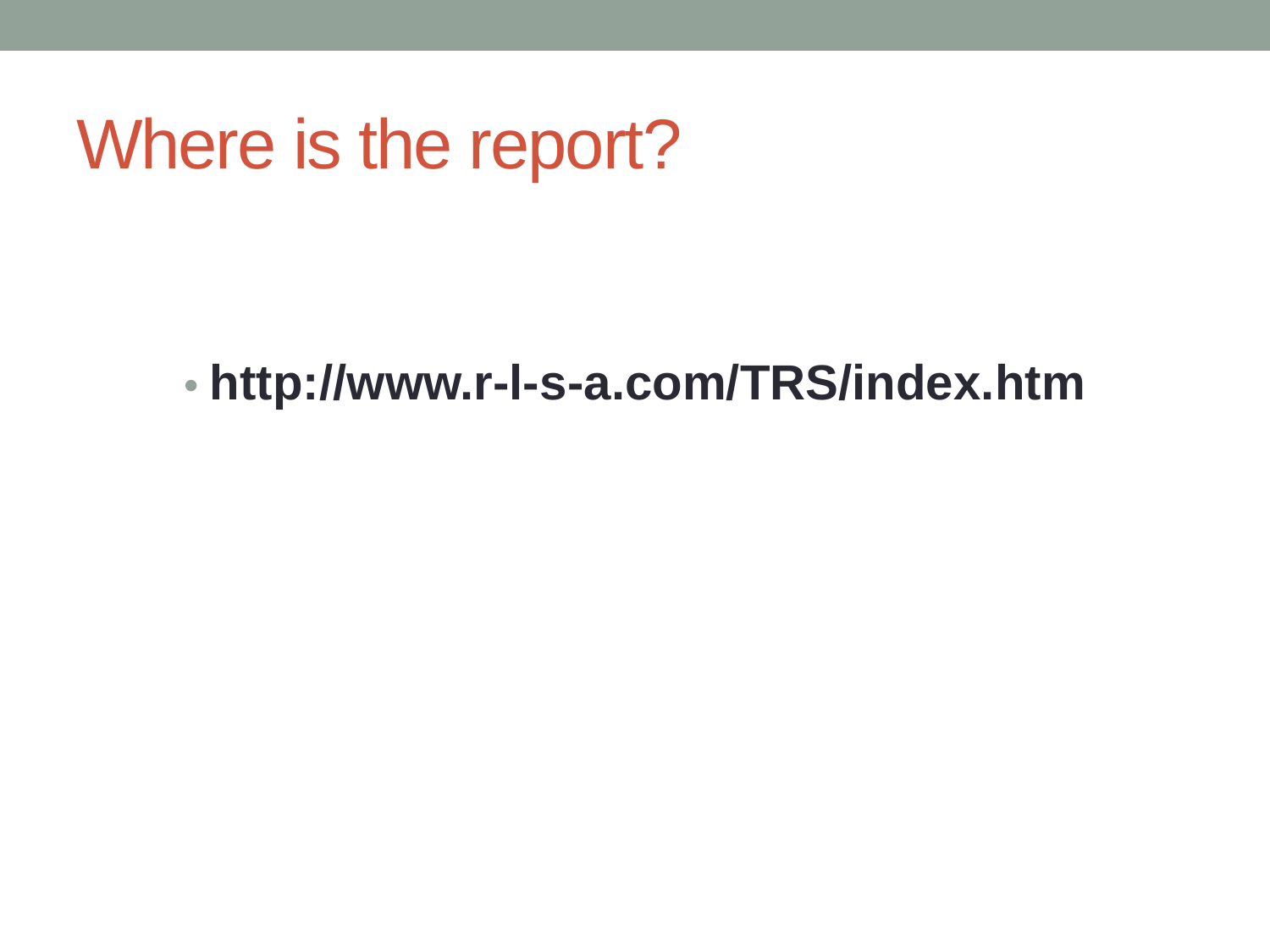#### Where is the report?

#### • **http://www.r-l-s-a.com/TRS/index.htm**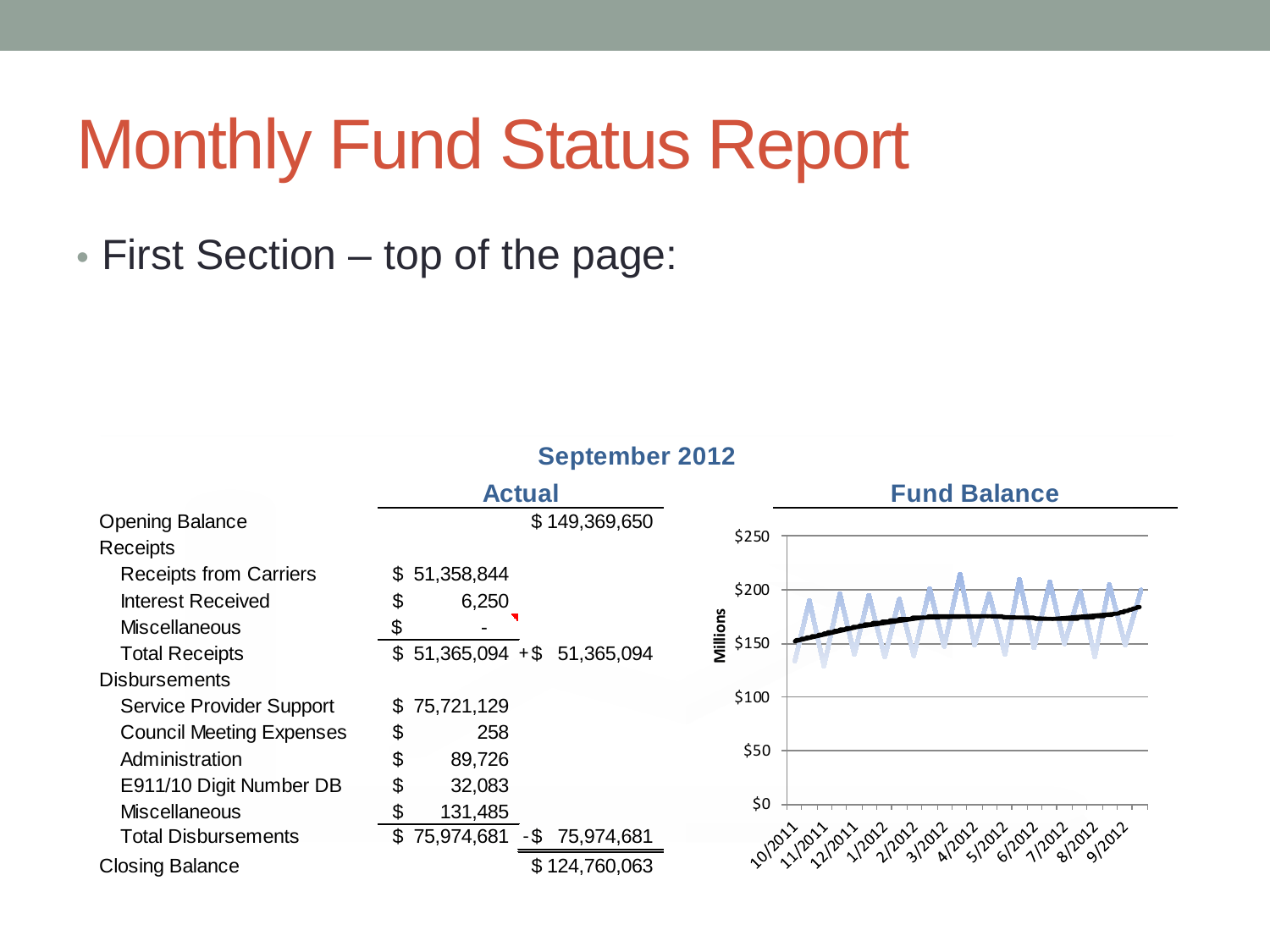• First Section – top of the page:

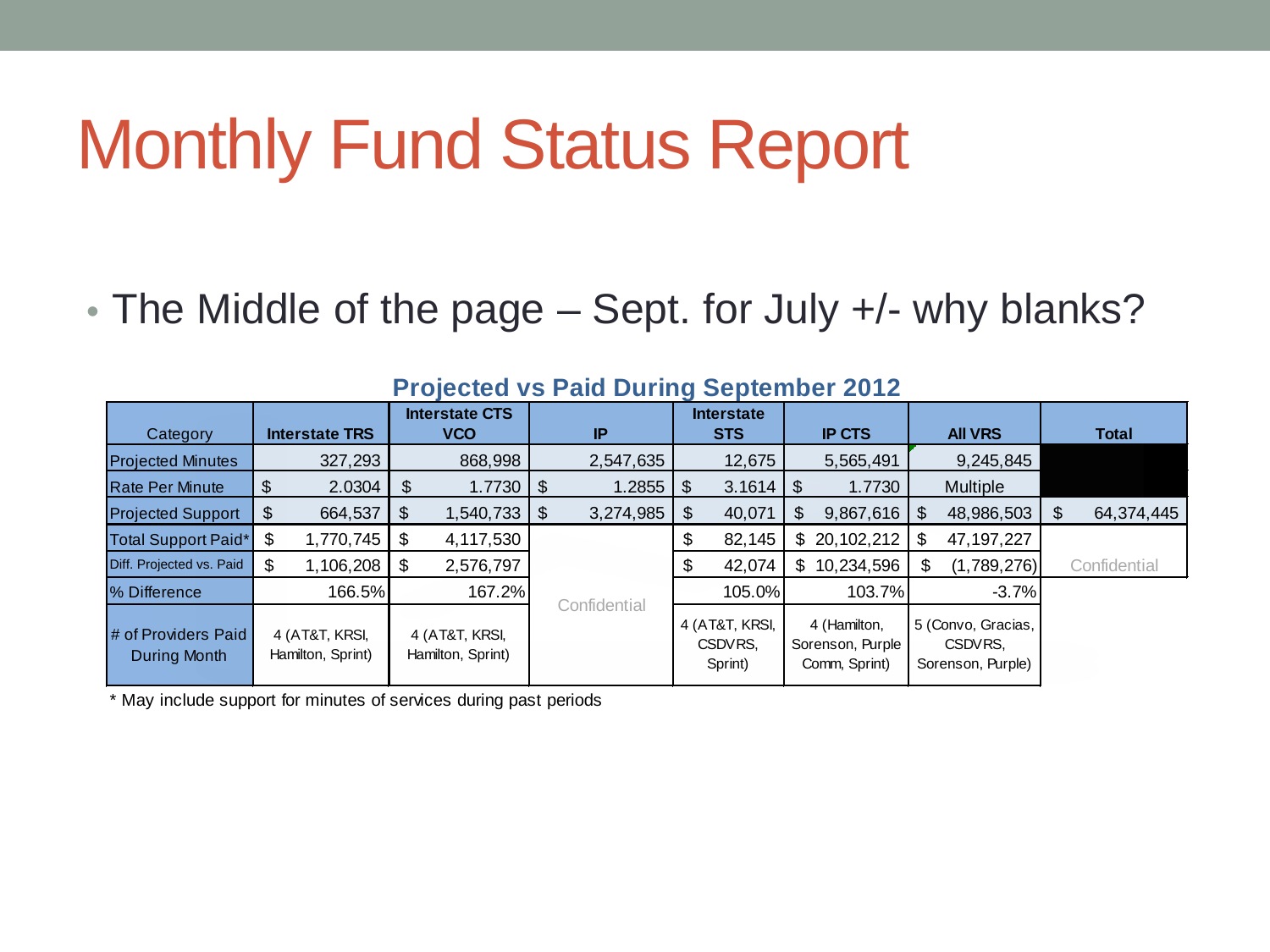• The Middle of the page – Sept. for July +/- why blanks?

| ------<br>________________          |                                     |                                     |                |                                      |                                                   |                                                    |                  |  |
|-------------------------------------|-------------------------------------|-------------------------------------|----------------|--------------------------------------|---------------------------------------------------|----------------------------------------------------|------------------|--|
|                                     |                                     | <b>Interstate CTS</b>               |                | <b>Interstate</b>                    |                                                   |                                                    |                  |  |
| Category                            | <b>Interstate TRS</b>               | <b>VCO</b>                          | IP             | <b>STS</b>                           | <b>IP CTS</b>                                     | <b>AII VRS</b>                                     | <b>Total</b>     |  |
| <b>Projected Minutes</b>            | 327,293                             | 868,998                             | 2,547,635      | 12,675                               | 5,565,491                                         | 9,245,845                                          |                  |  |
| <b>Rate Per Minute</b>              | 2.0304                              | 1.7730<br>\$                        | 1.2855<br>£.   | 3.1614<br>\$                         | 1.7730<br>\$                                      | <b>Multiple</b>                                    |                  |  |
| <b>Projected Support</b>            | 664,537                             | 1,540,733<br>\$                     | 3,274,985<br>S | 40,071<br>£.                         | 9,867,616                                         | 48,986,503<br>- \$                                 | 64,374,445<br>\$ |  |
| Total Support Paid*                 | 1,770,745<br>S                      | 4,117,530<br>\$                     |                | 82,145<br>Φ                          | \$20,102,212                                      | 47, 197, 227<br>S                                  |                  |  |
| Diff. Projected vs. Paid            | 1,106,208<br>S                      | 2,576,797                           |                | 42,074                               | 10,234,596<br>\$.                                 | (1,789,276)<br>\$.                                 | Confidential     |  |
| <b>% Difference</b>                 | 166.5%                              | 167.2%                              |                | 105.0%                               | 103.7%                                            | $-3.7%$                                            |                  |  |
| # of Providers Paid<br>During Month | 4 (AT&T, KRSI,<br>Hamilton, Sprint) | 4 (AT&T, KRSI,<br>Hamilton, Sprint) | Confidential   | 4 (AT&T, KRSI,<br>CSDVRS.<br>Sprint) | 4 (Hamilton,<br>Sorenson, Purple<br>Comm, Sprint) | 5 (Convo, Gracias,<br>CSDVRS.<br>Sorenson, Purple) |                  |  |

#### **Projected vs Paid During September 2012**

\* May include support for minutes of services during past periods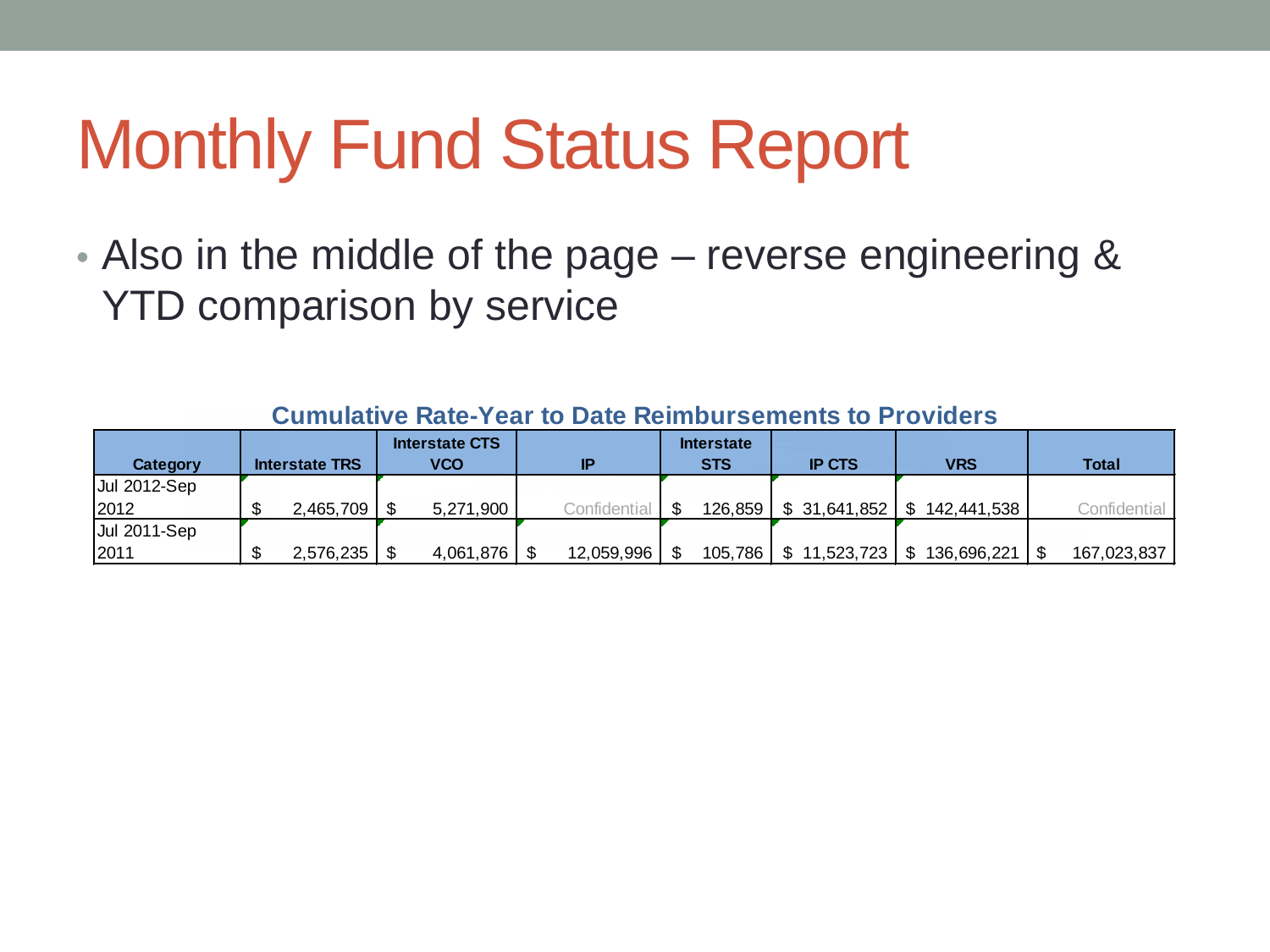• Also in the middle of the page – reverse engineering & YTD comparison by service

| Category            | <b>Interstate TRS</b> | <b>Interstate CTS</b><br>VCO | IP           | <b>Interstate</b><br><b>STS</b> | <b>IP CTS</b>                            | <b>VRS</b> | Total        |
|---------------------|-----------------------|------------------------------|--------------|---------------------------------|------------------------------------------|------------|--------------|
| <b>Jul 2012-Sep</b> |                       |                              |              |                                 |                                          |            |              |
| 12012               | $2.465.709$   \$      | 5,271,900                    | Confidential |                                 | 126,859   \$ 31,641,852   \$ 142,441,538 |            | Confidential |
| Jul 2011-Sep        |                       |                              |              |                                 |                                          |            |              |
| 2011                |                       | 4,061,876                    | 12,059,996   |                                 | 105,786   \$ 11,523,723   \$ 136,696,221 |            | 167,023,837  |

**Cumulative Rate-Year to Date Reimbursements to Providers**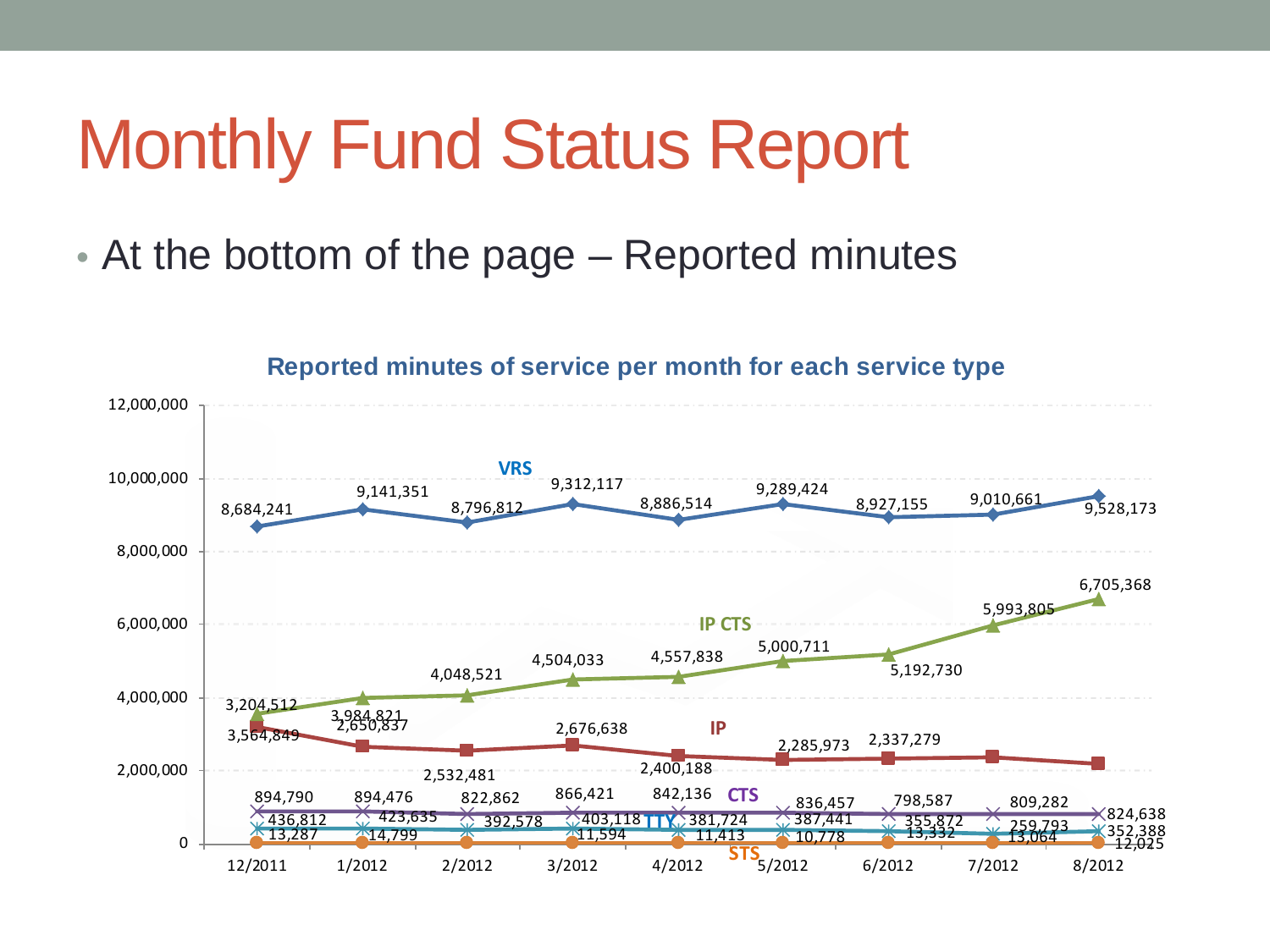• At the bottom of the page – Reported minutes



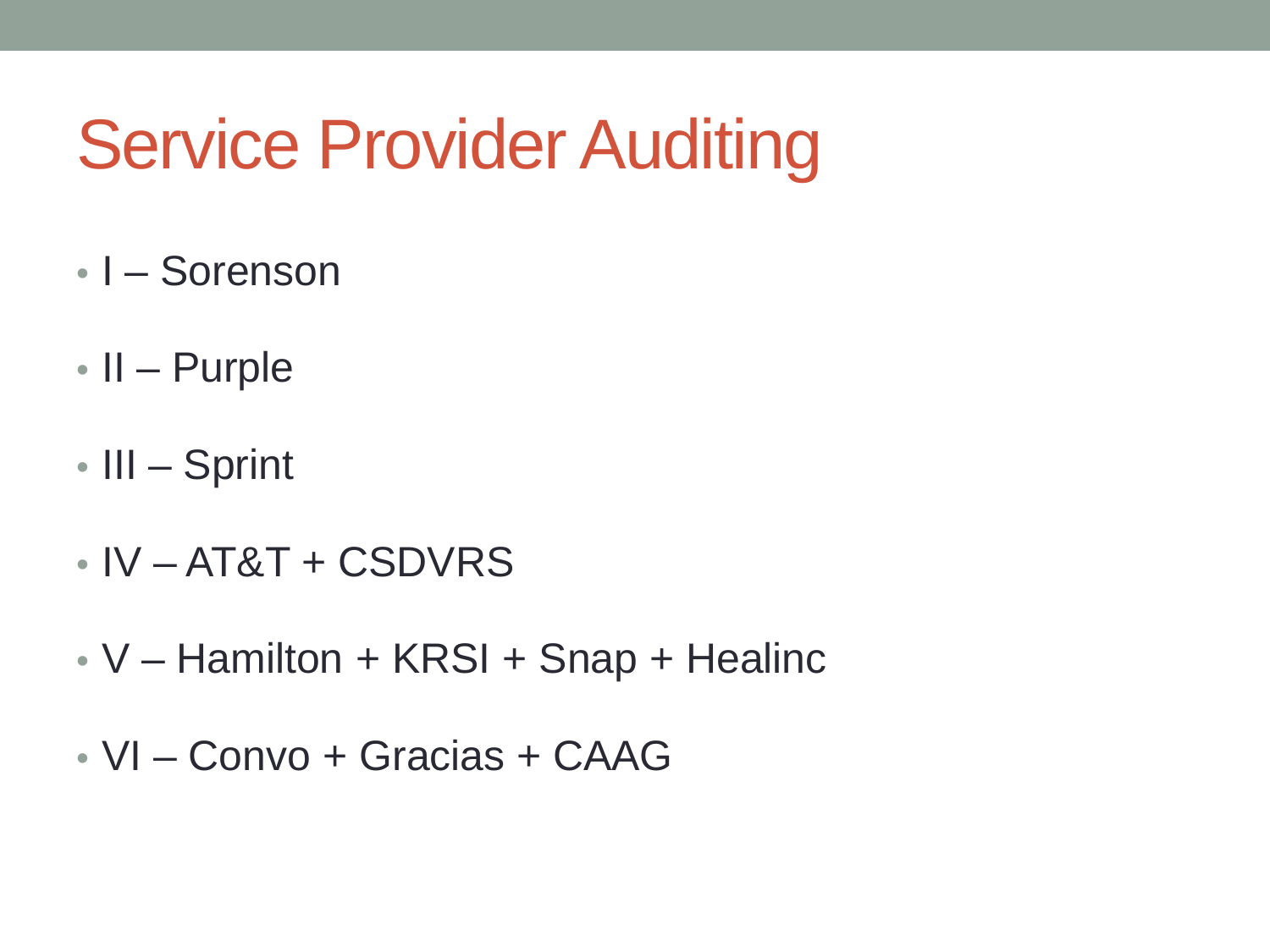### Service Provider Auditing

- I Sorenson
- II Purple
- III Sprint
- $\cdot$  IV AT&T + CSDVRS
- V Hamilton + KRSI + Snap + Healinc
- VI Convo + Gracias + CAAG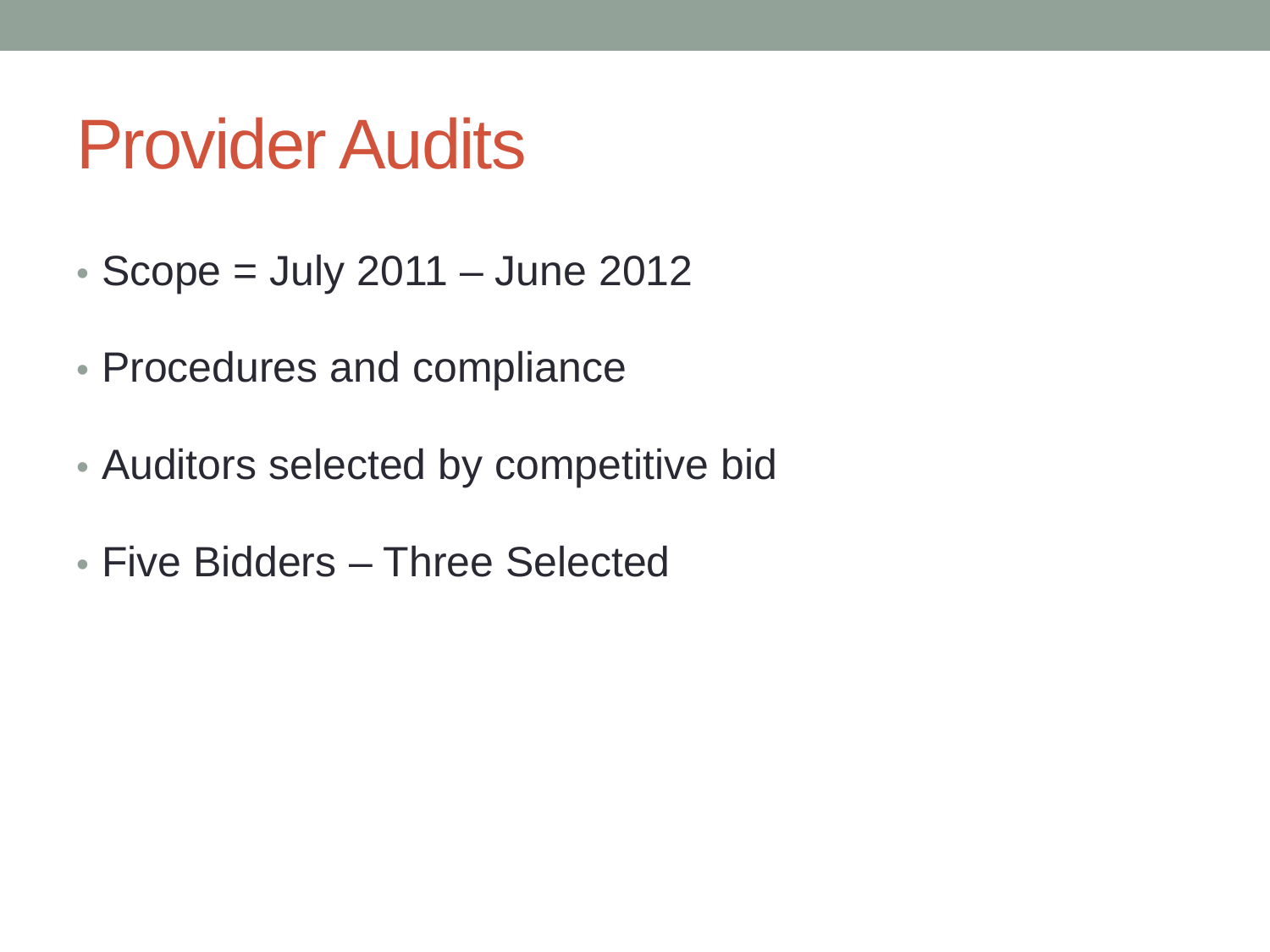#### Provider Audits

- $\cdot$  Scope = July 2011 June 2012
- Procedures and compliance
- Auditors selected by competitive bid
- Five Bidders Three Selected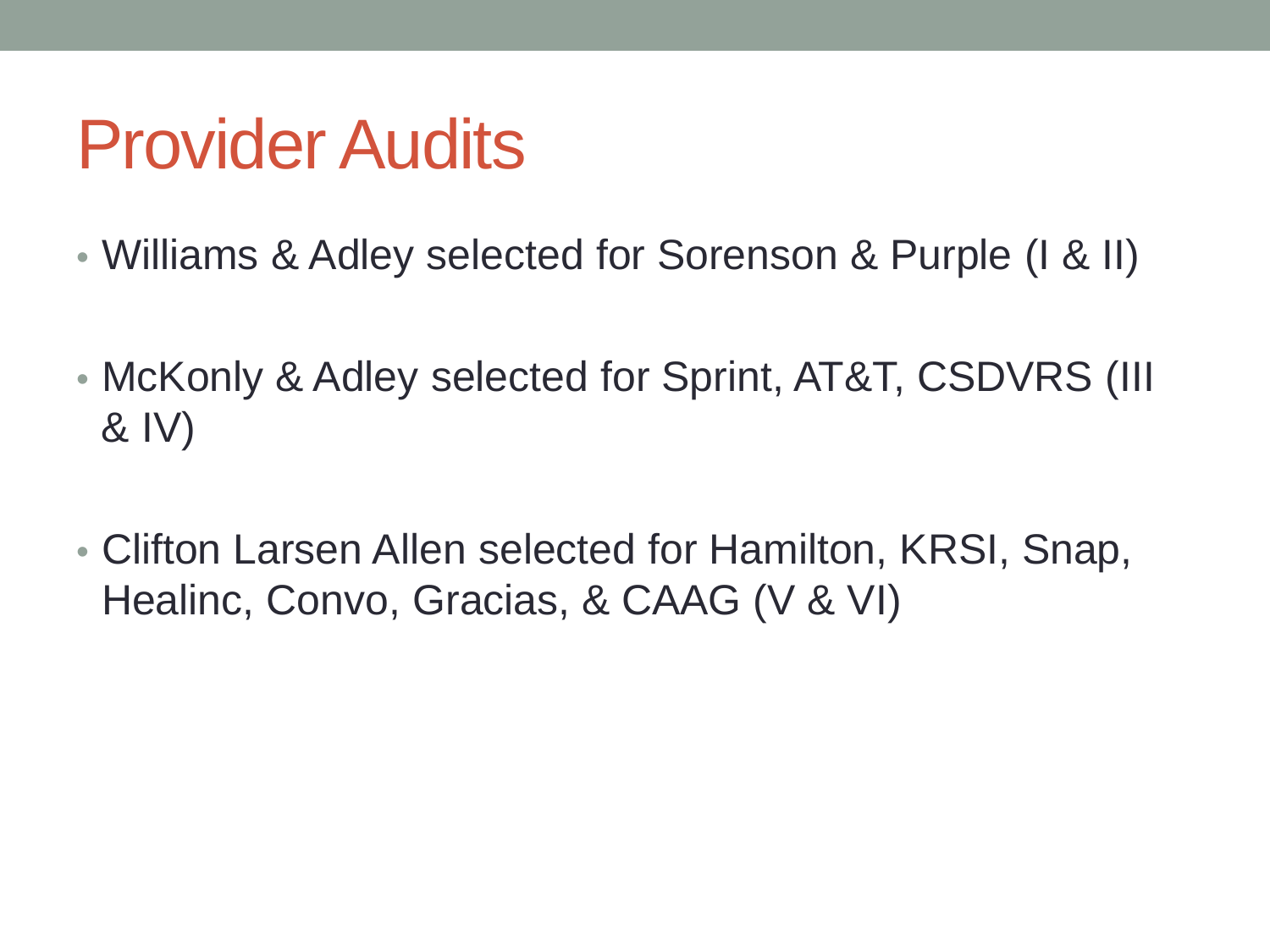#### Provider Audits

- Williams & Adley selected for Sorenson & Purple (I & II)
- McKonly & Adley selected for Sprint, AT&T, CSDVRS (III & IV)
- Clifton Larsen Allen selected for Hamilton, KRSI, Snap, Healinc, Convo, Gracias, & CAAG (V & VI)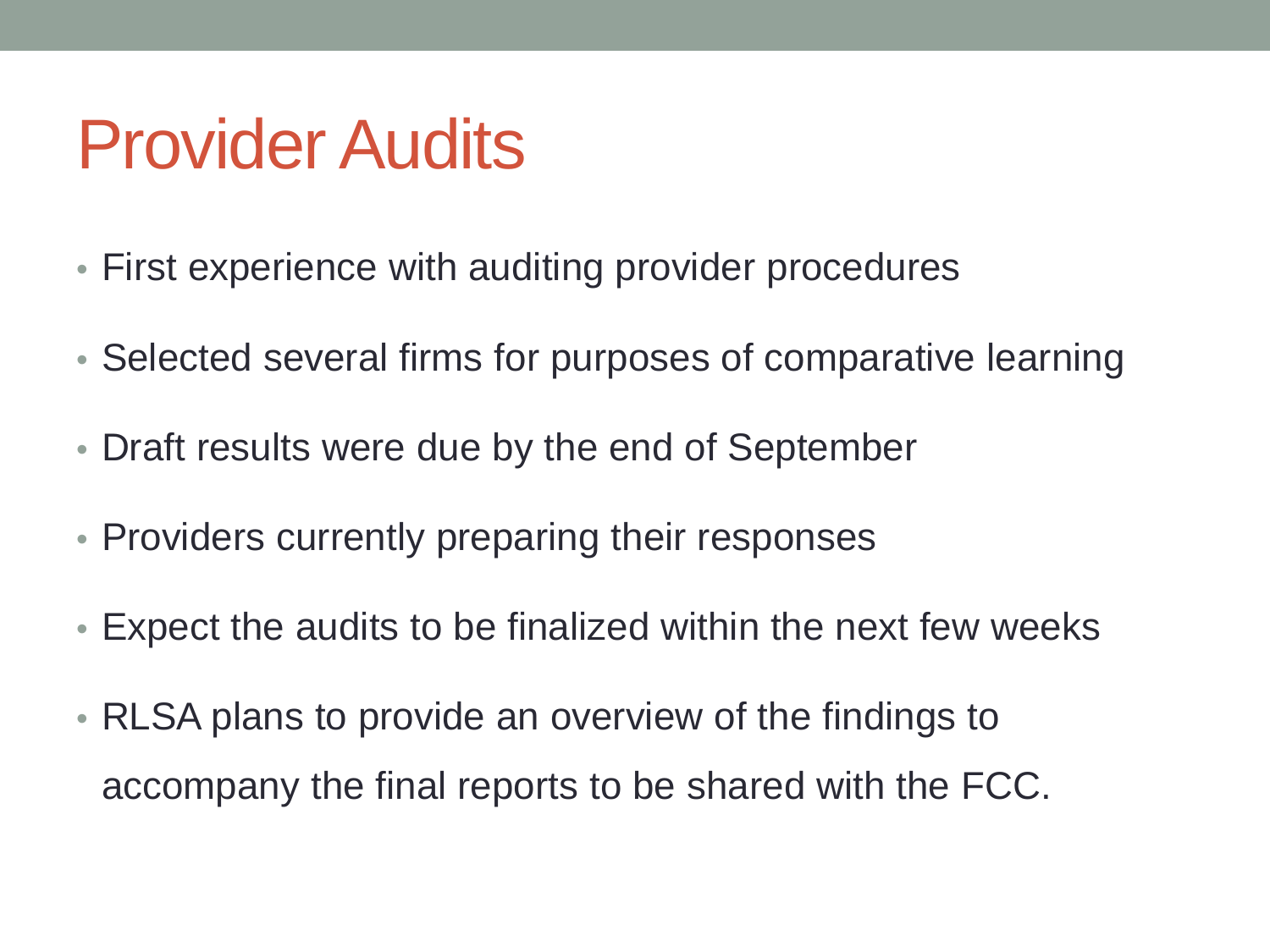#### Provider Audits

- First experience with auditing provider procedures
- Selected several firms for purposes of comparative learning
- Draft results were due by the end of September
- Providers currently preparing their responses
- Expect the audits to be finalized within the next few weeks
- RLSA plans to provide an overview of the findings to accompany the final reports to be shared with the FCC.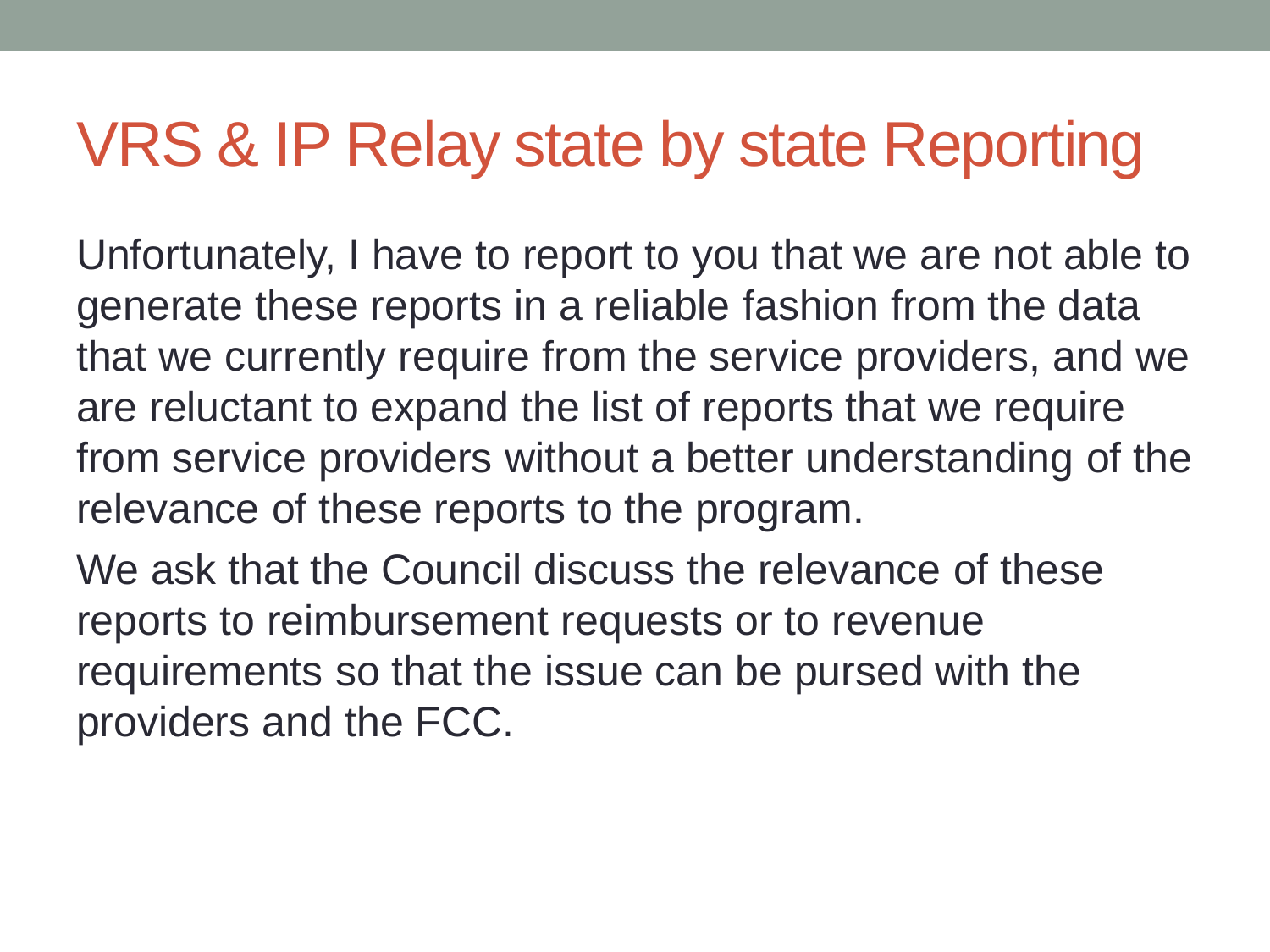#### VRS & IP Relay state by state Reporting

Unfortunately, I have to report to you that we are not able to generate these reports in a reliable fashion from the data that we currently require from the service providers, and we are reluctant to expand the list of reports that we require from service providers without a better understanding of the relevance of these reports to the program.

We ask that the Council discuss the relevance of these reports to reimbursement requests or to revenue requirements so that the issue can be pursed with the providers and the FCC.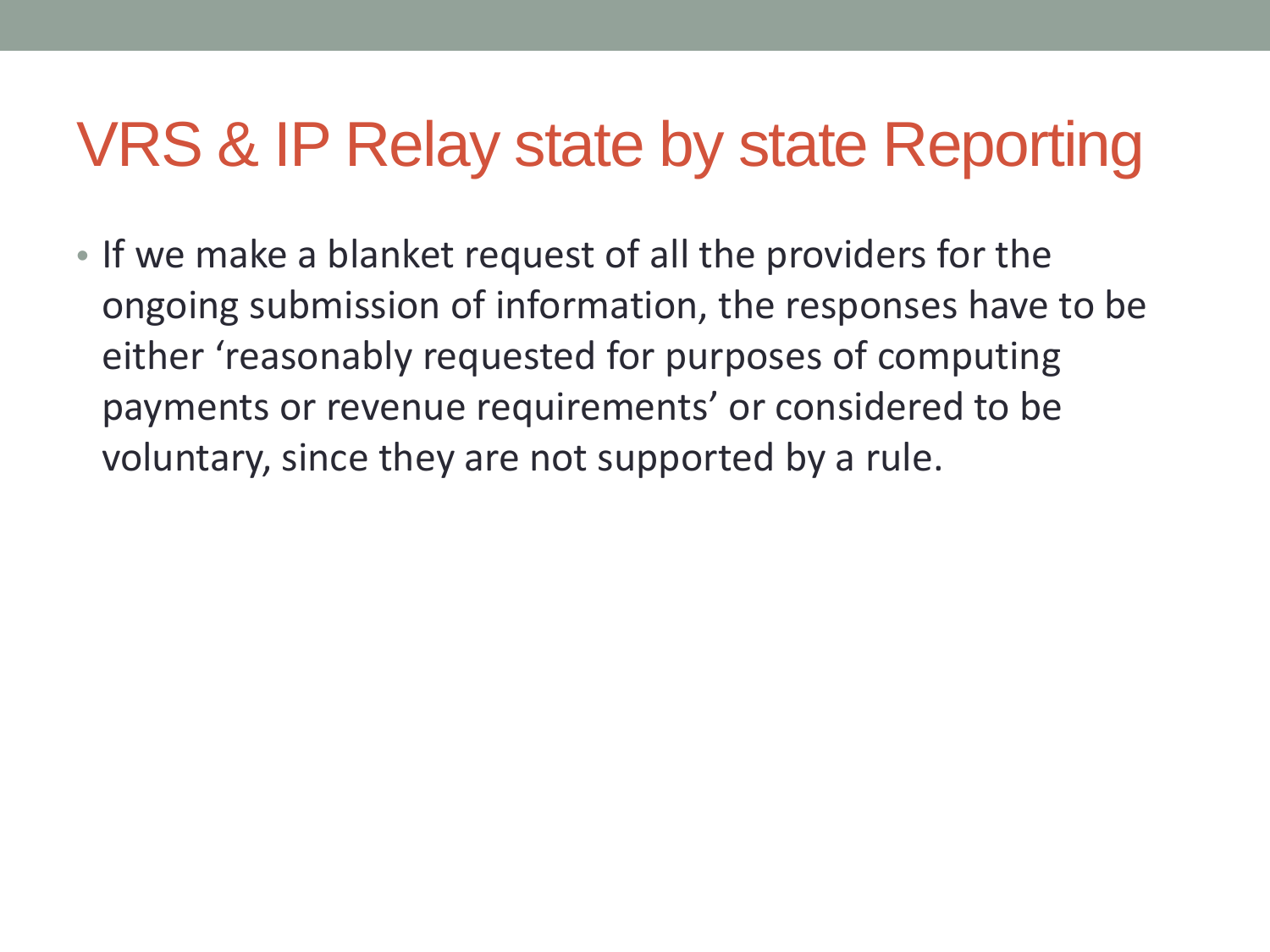#### VRS & IP Relay state by state Reporting

• If we make a blanket request of all the providers for the ongoing submission of information, the responses have to be either 'reasonably requested for purposes of computing payments or revenue requirements' or considered to be voluntary, since they are not supported by a rule.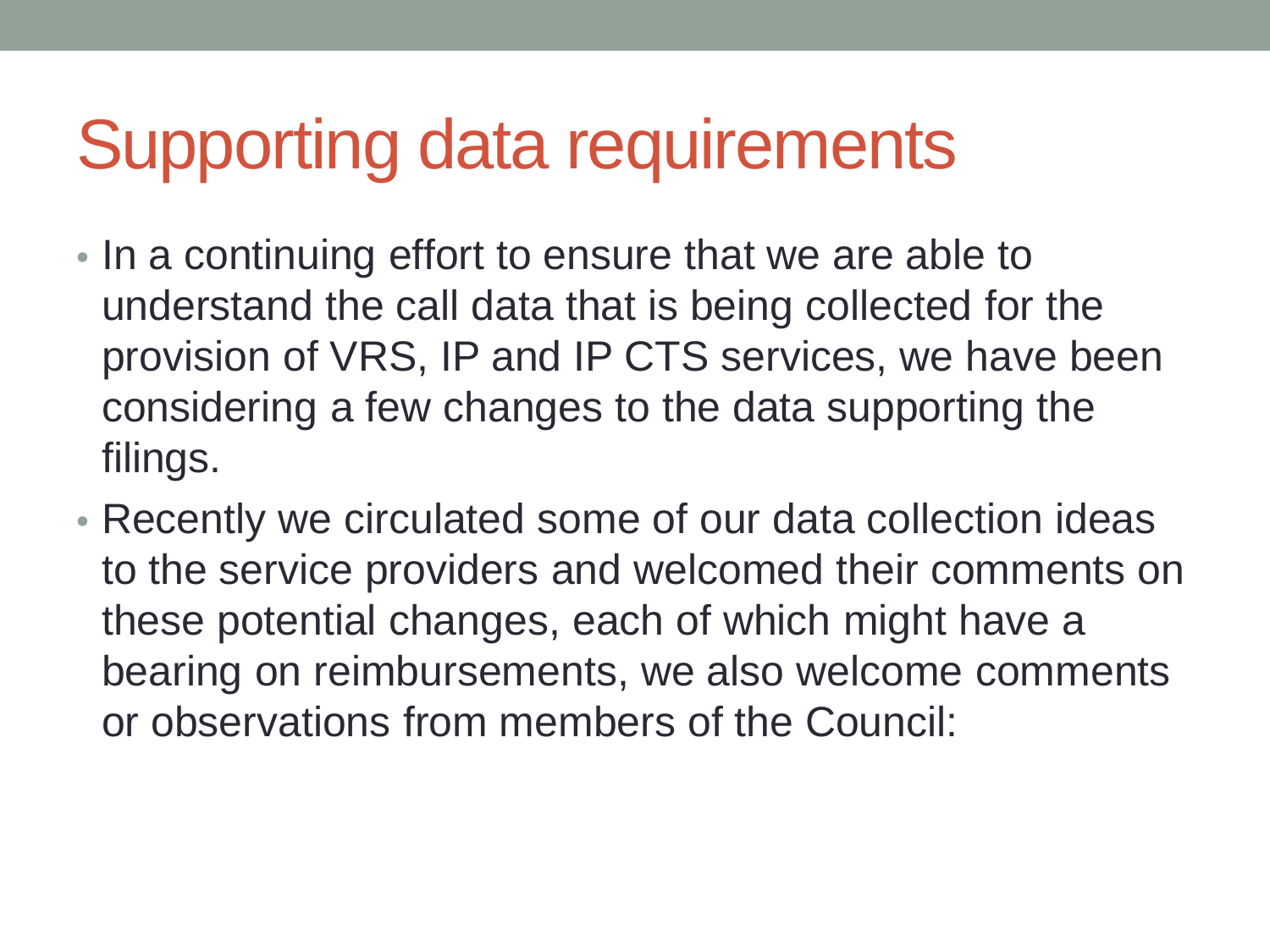#### Supporting data requirements

- In a continuing effort to ensure that we are able to understand the call data that is being collected for the provision of VRS, IP and IP CTS services, we have been considering a few changes to the data supporting the filings.
- Recently we circulated some of our data collection ideas to the service providers and welcomed their comments on these potential changes, each of which might have a bearing on reimbursements, we also welcome comments or observations from members of the Council: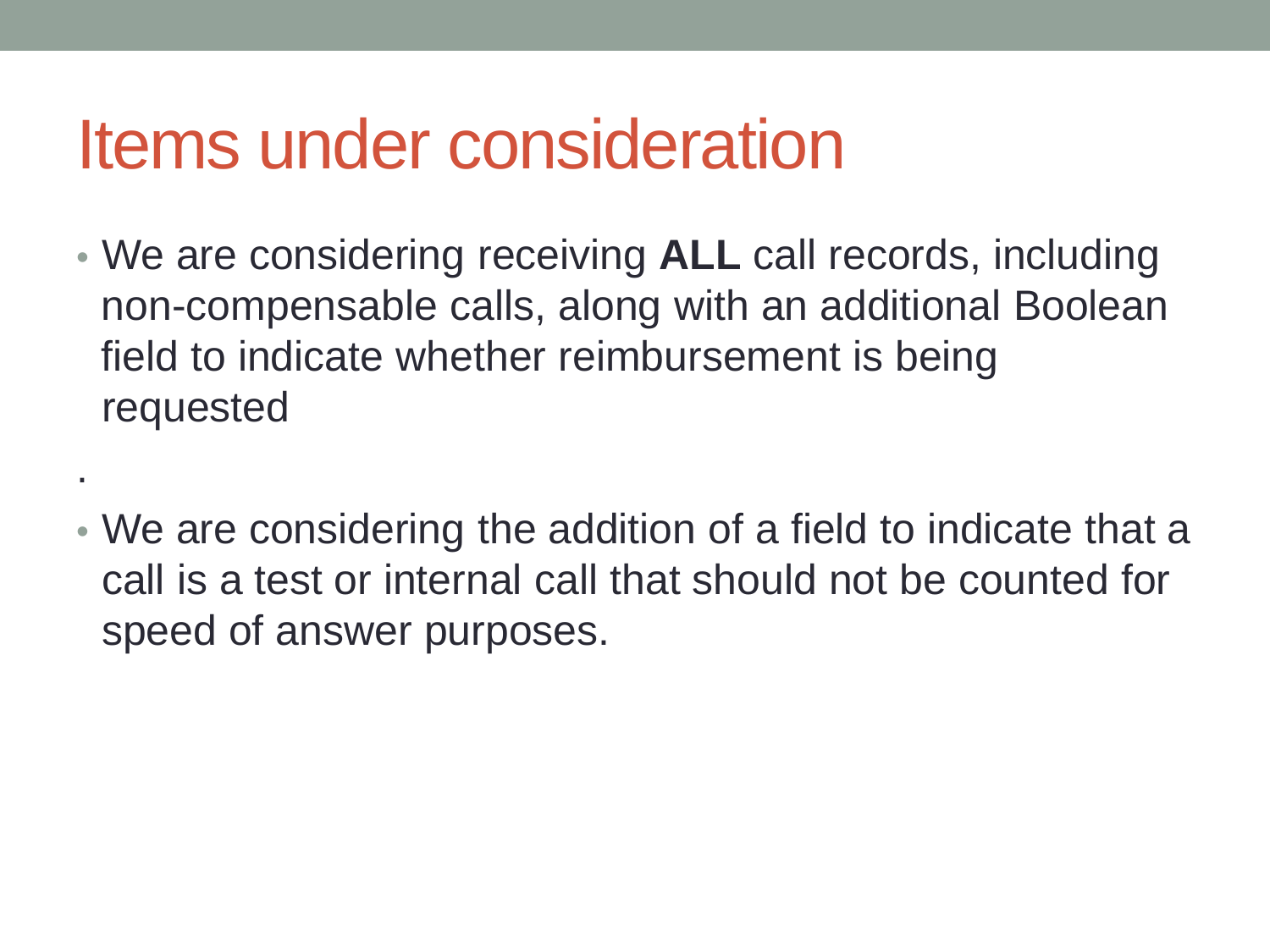.

- We are considering receiving **ALL** call records, including non-compensable calls, along with an additional Boolean field to indicate whether reimbursement is being requested
- We are considering the addition of a field to indicate that a call is a test or internal call that should not be counted for speed of answer purposes.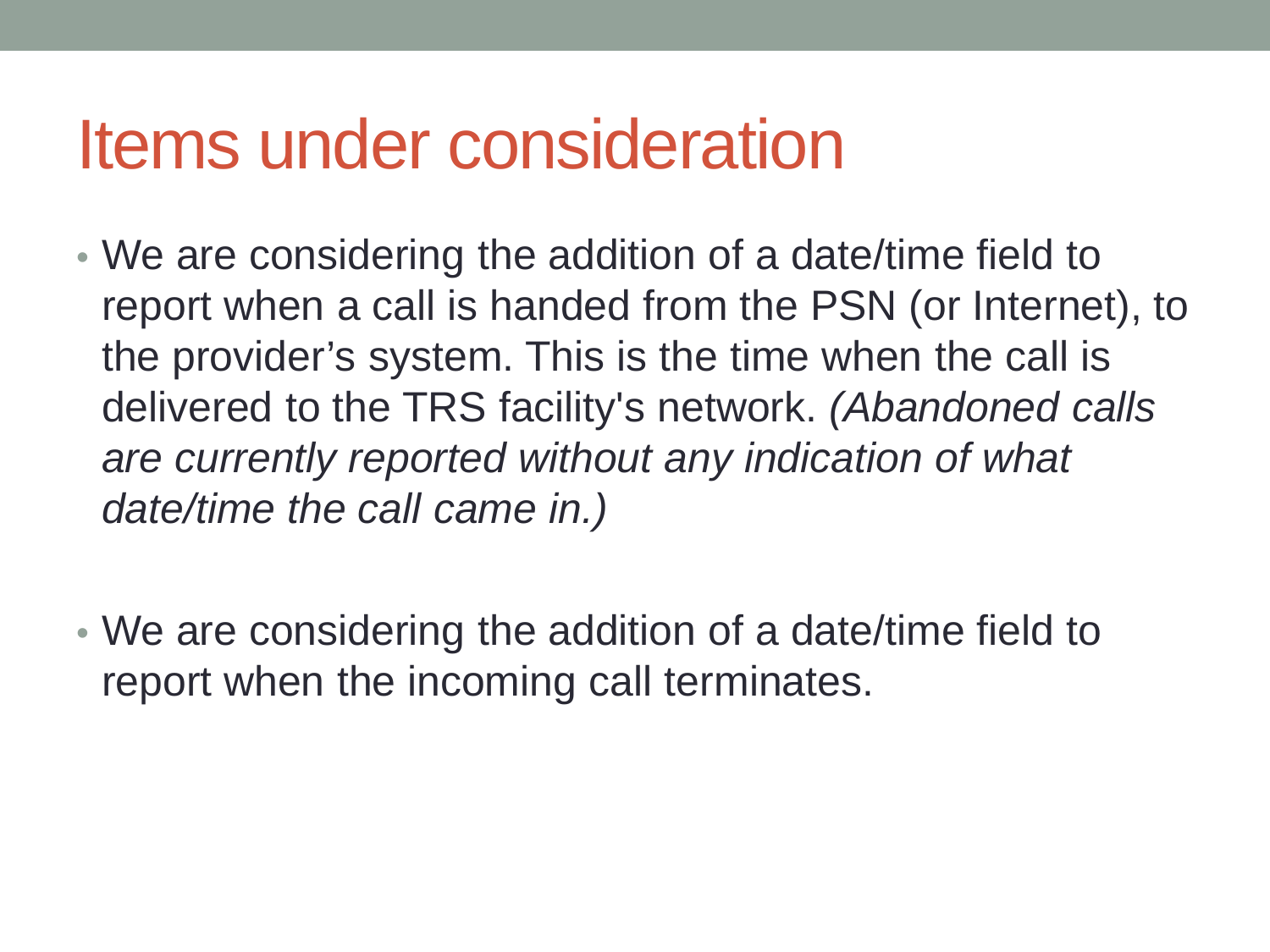- We are considering the addition of a date/time field to report when a call is handed from the PSN (or Internet), to the provider's system. This is the time when the call is delivered to the TRS facility's network. *(Abandoned calls are currently reported without any indication of what date/time the call came in.)*
- We are considering the addition of a date/time field to report when the incoming call terminates.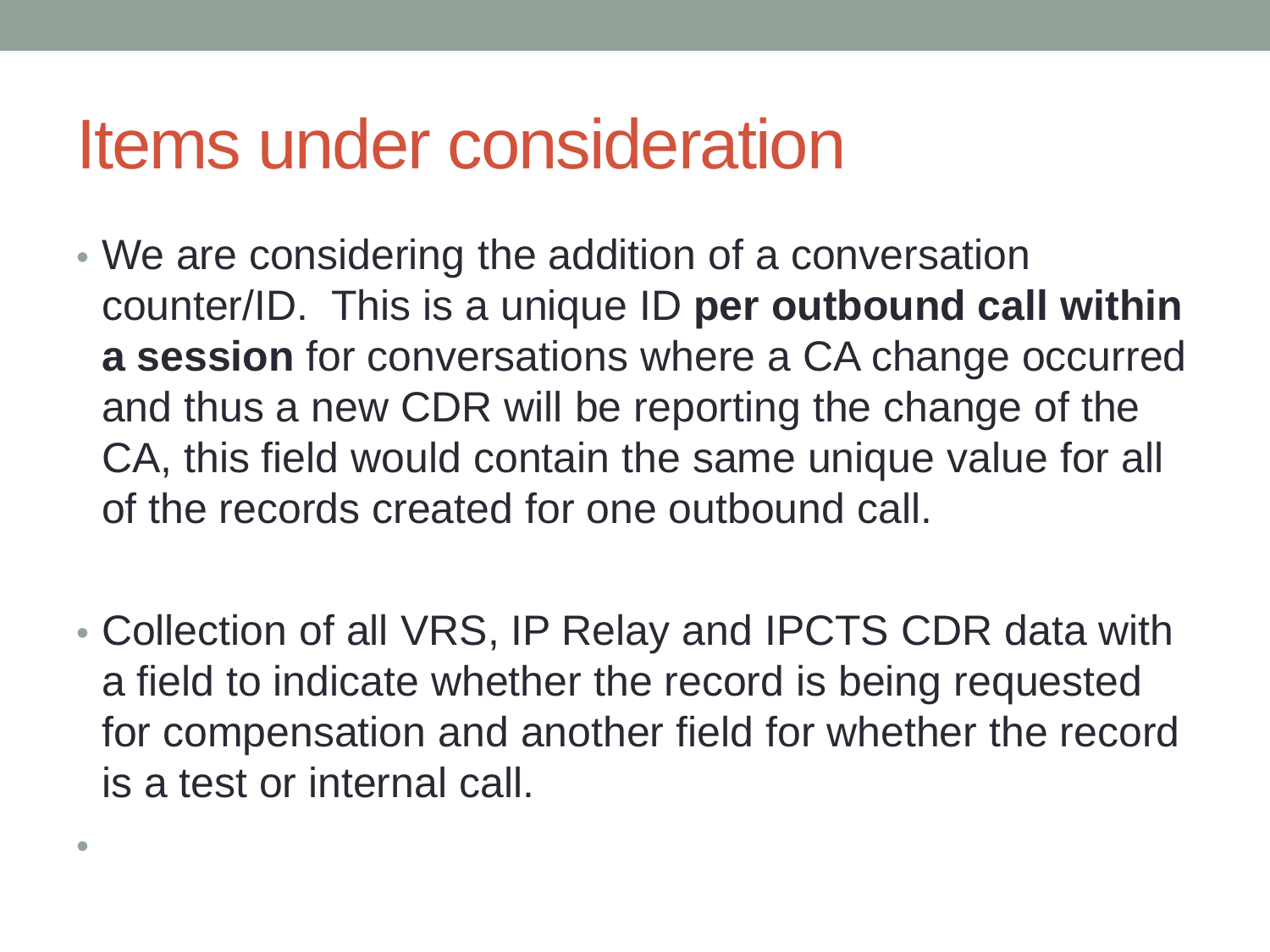•

- We are considering the addition of a conversation counter/ID. This is a unique ID **per outbound call within a session** for conversations where a CA change occurred and thus a new CDR will be reporting the change of the CA, this field would contain the same unique value for all of the records created for one outbound call.
- Collection of all VRS, IP Relay and IPCTS CDR data with a field to indicate whether the record is being requested for compensation and another field for whether the record is a test or internal call.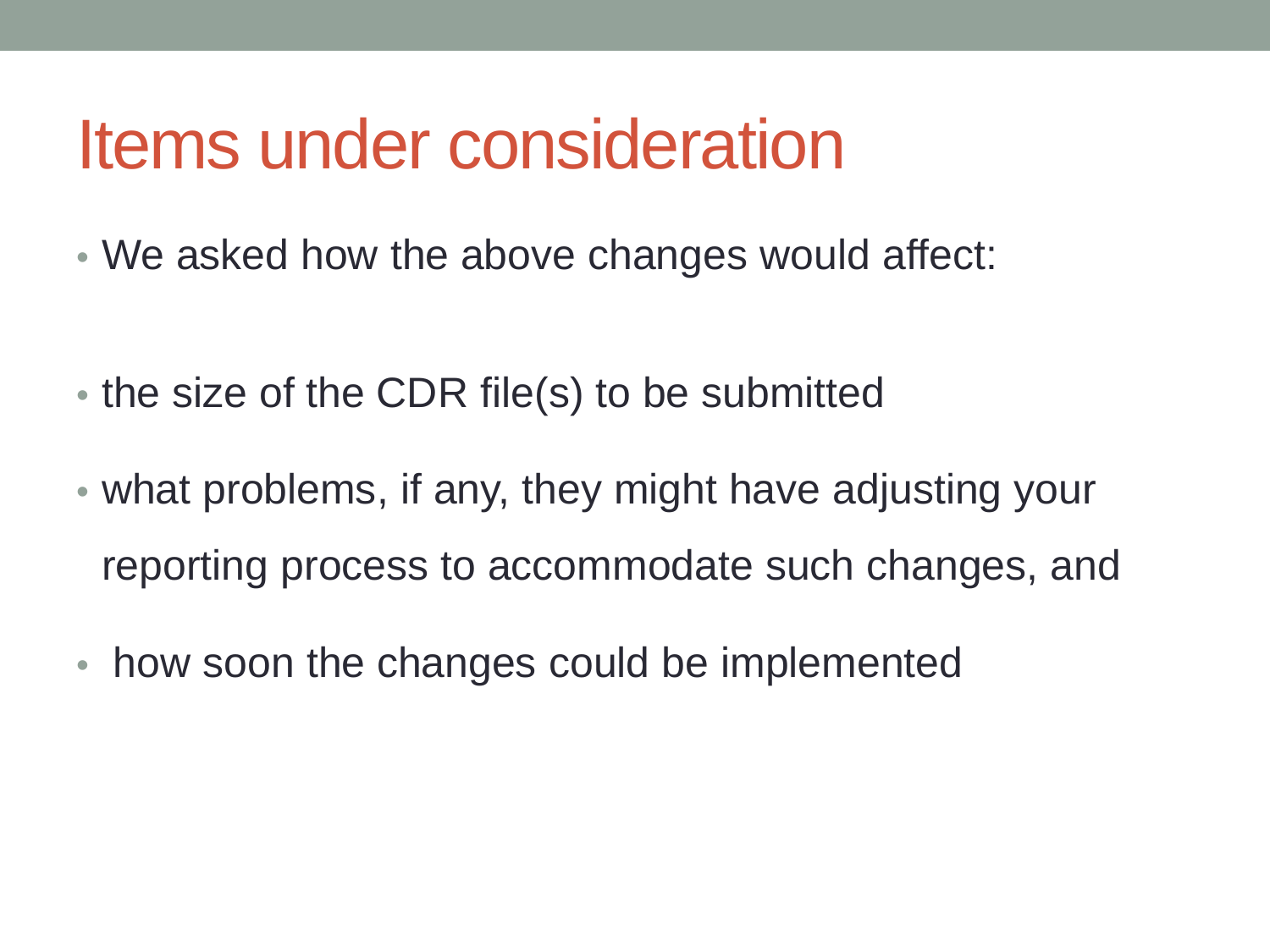- We asked how the above changes would affect:
- the size of the CDR file(s) to be submitted
- what problems, if any, they might have adjusting your reporting process to accommodate such changes, and
- how soon the changes could be implemented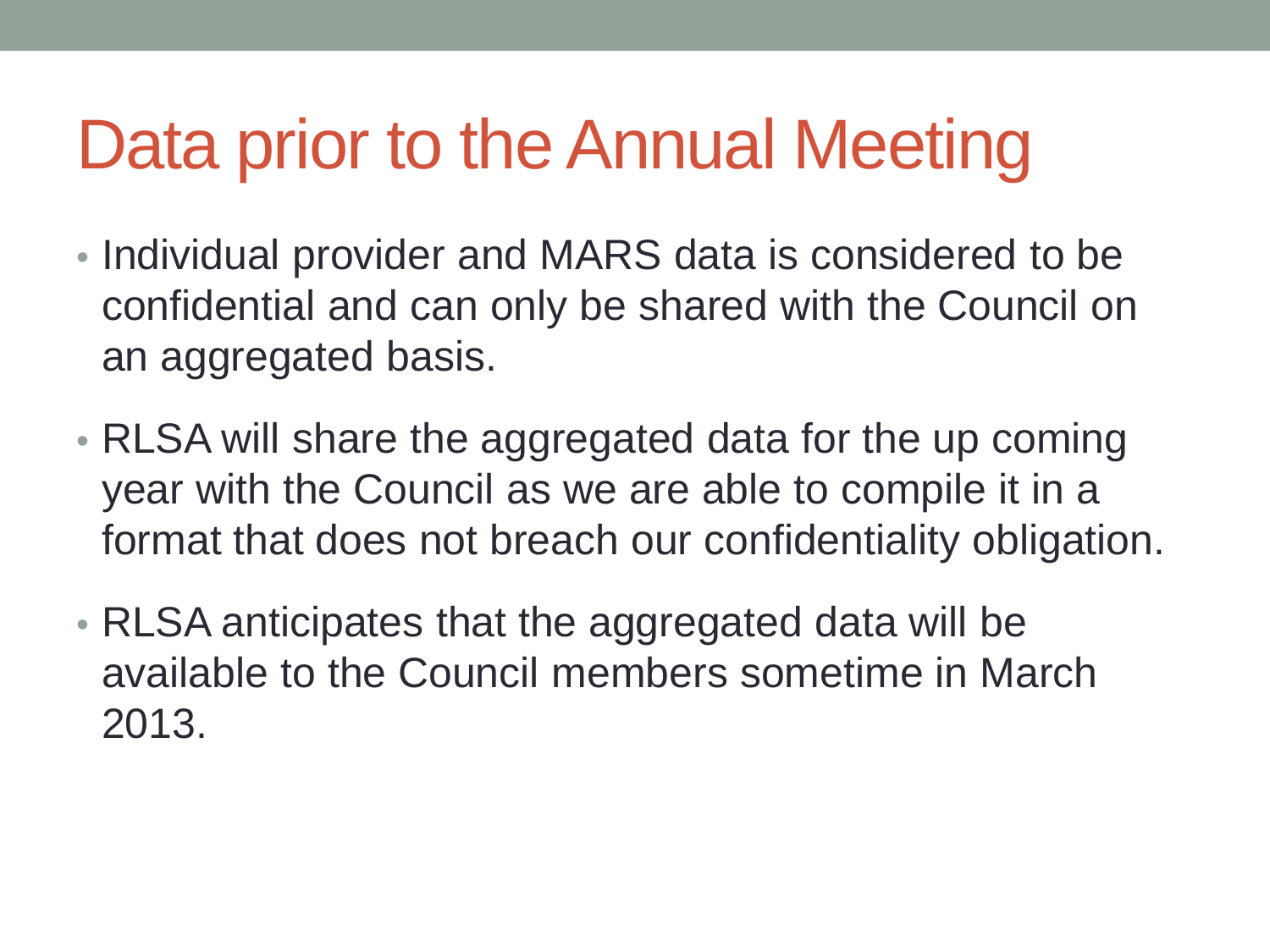### Data prior to the Annual Meeting

- Individual provider and MARS data is considered to be confidential and can only be shared with the Council on an aggregated basis.
- RLSA will share the aggregated data for the up coming year with the Council as we are able to compile it in a format that does not breach our confidentiality obligation.
- RLSA anticipates that the aggregated data will be available to the Council members sometime in March 2013.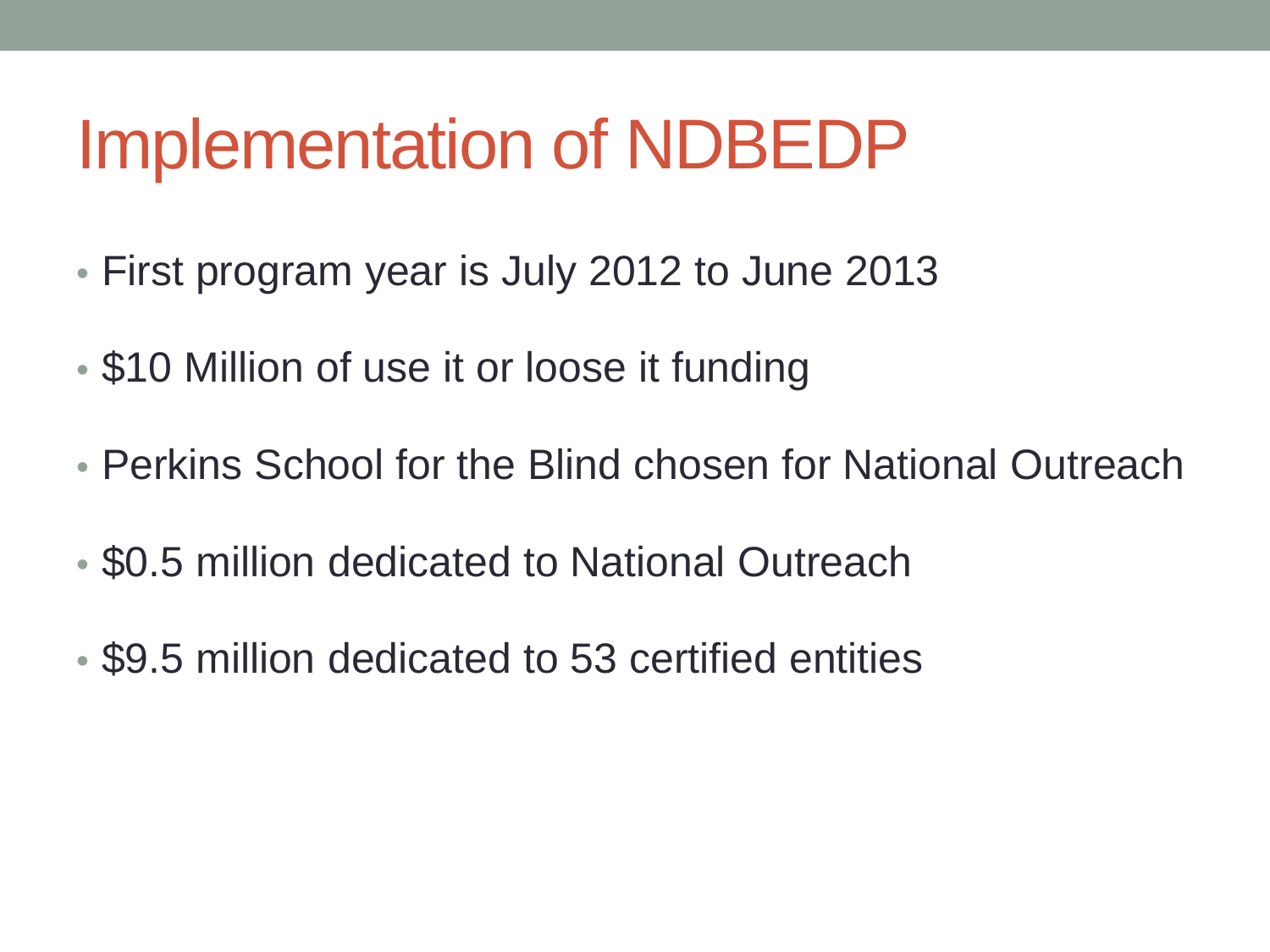- First program year is July 2012 to June 2013
- \$10 Million of use it or loose it funding
- Perkins School for the Blind chosen for National Outreach
- \$0.5 million dedicated to National Outreach
- \$9.5 million dedicated to 53 certified entities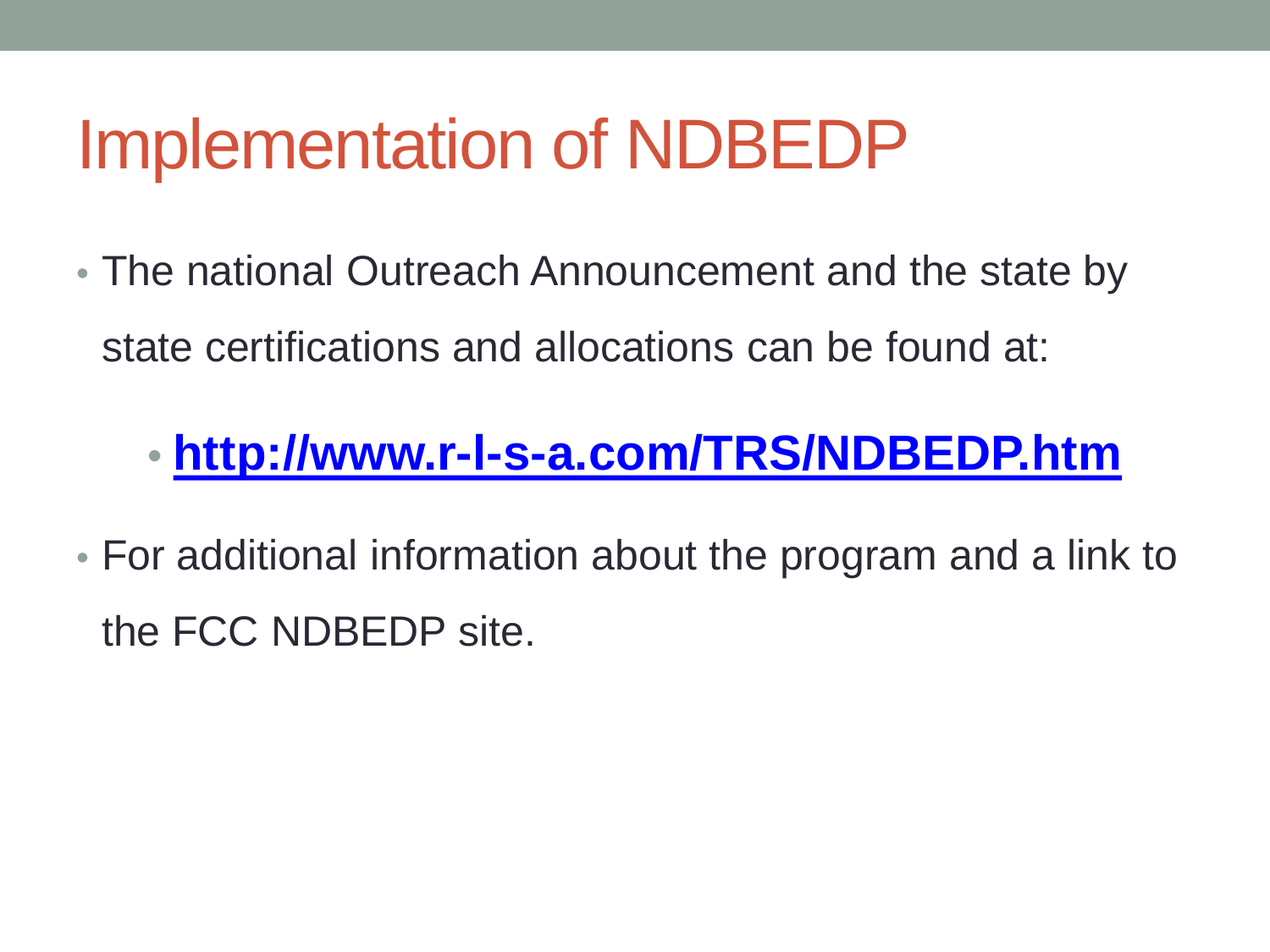• The national Outreach Announcement and the state by state certifications and allocations can be found at:

#### • **<http://www.r-l-s-a.com/TRS/NDBEDP.htm>**

• For additional information about the program and a link to the FCC NDBEDP site.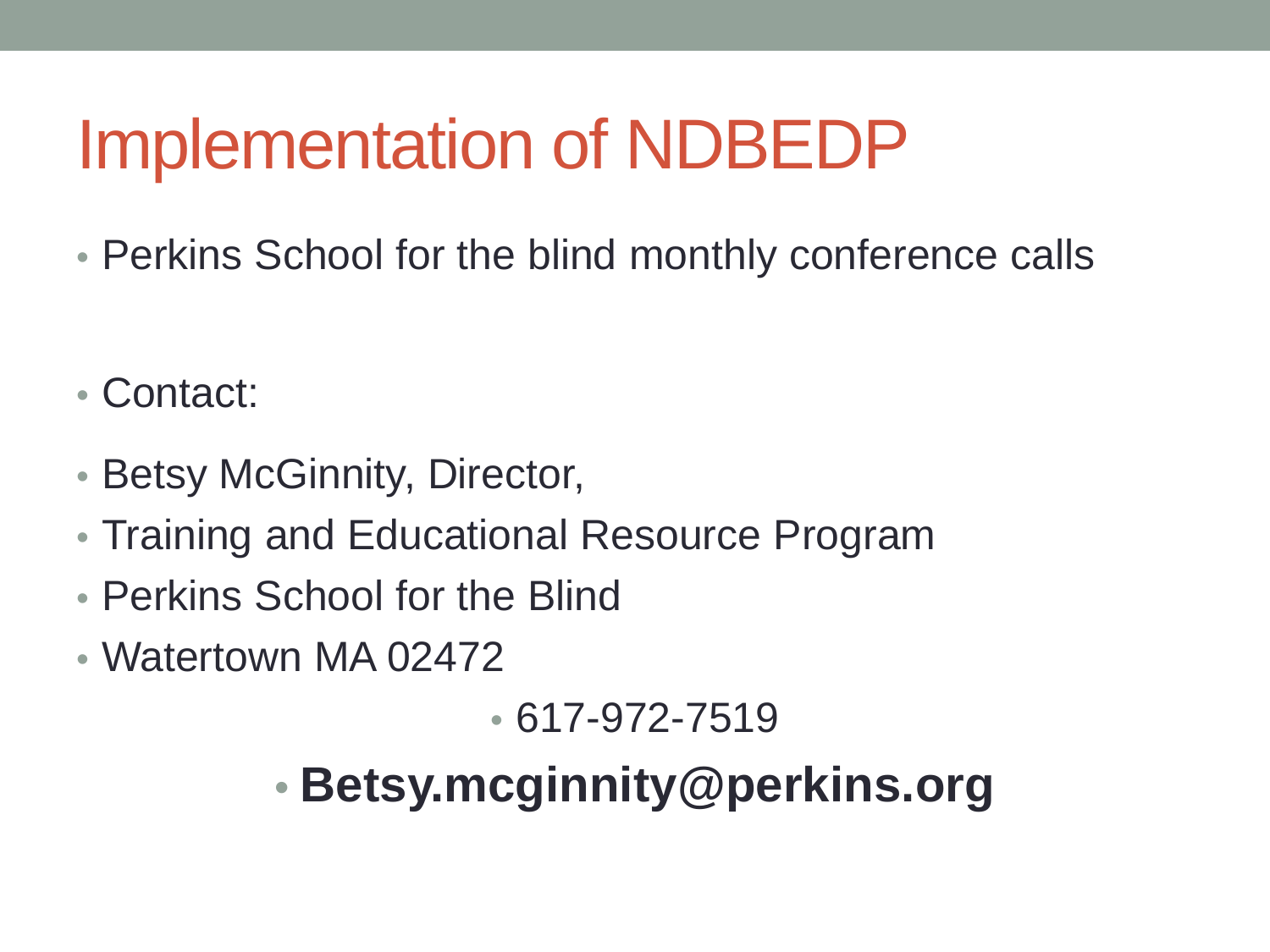- Perkins School for the blind monthly conference calls
- Contact:
- Betsy McGinnity, Director,
- Training and Educational Resource Program
- Perkins School for the Blind
- Watertown MA 02472

• 617-972-7519

• **Betsy.mcginnity@perkins.org**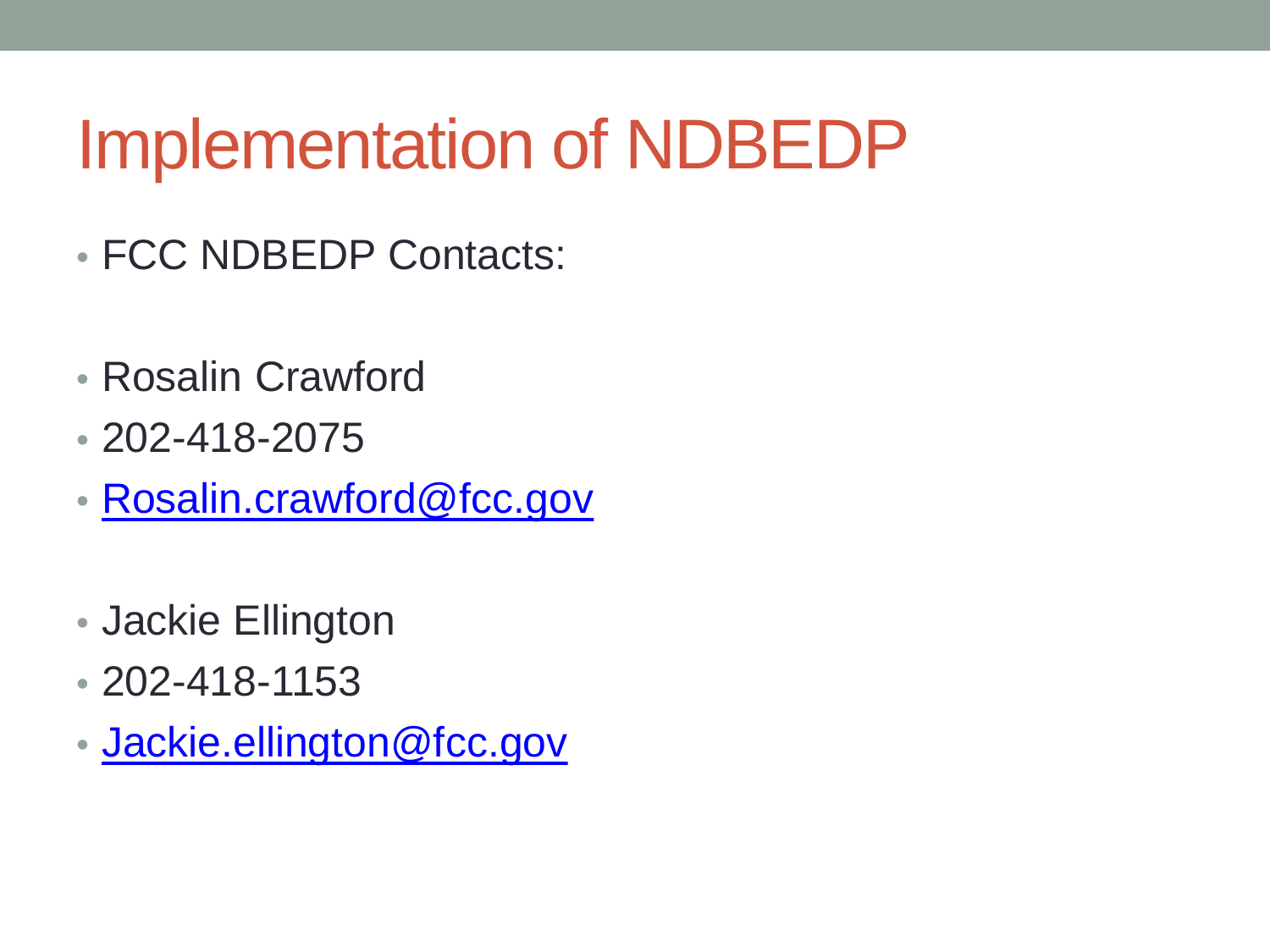- FCC NDBEDP Contacts:
- Rosalin Crawford
- 202-418-2075
- [Rosalin.crawford@fcc.gov](mailto:Rosalin.crawford@fcc.gov)
- Jackie Ellington
- 202-418-1153
- [Jackie.ellington@fcc.gov](mailto:Jackie.ellington@fcc.gov)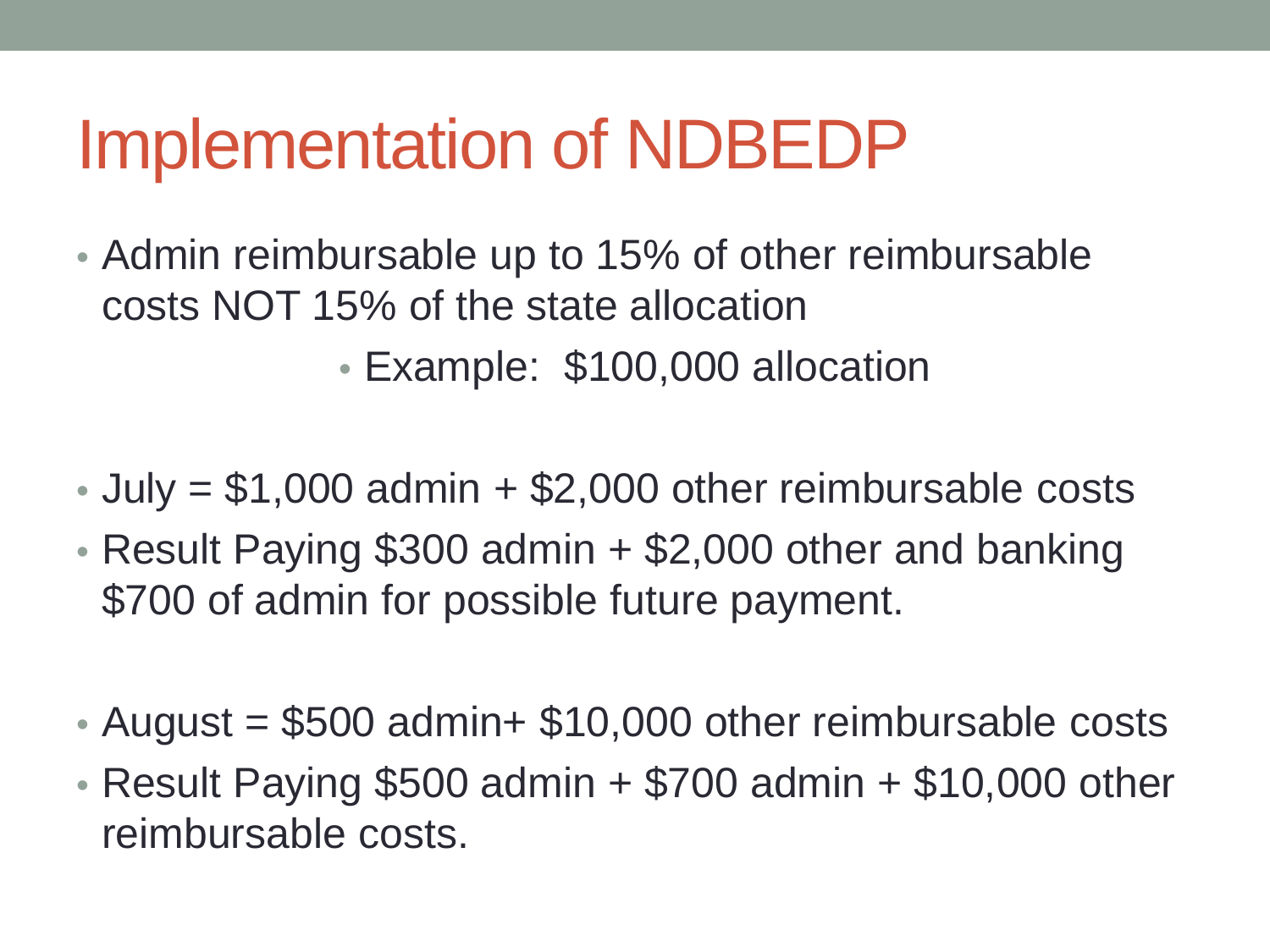- Admin reimbursable up to 15% of other reimbursable costs NOT 15% of the state allocation
	- Example: \$100,000 allocation
- July  $= $1,000$  admin  $+ $2,000$  other reimbursable costs
- Result Paying \$300 admin + \$2,000 other and banking \$700 of admin for possible future payment.
- August  $= $500$  admin+  $$10,000$  other reimbursable costs
- Result Paying \$500 admin + \$700 admin + \$10,000 other reimbursable costs.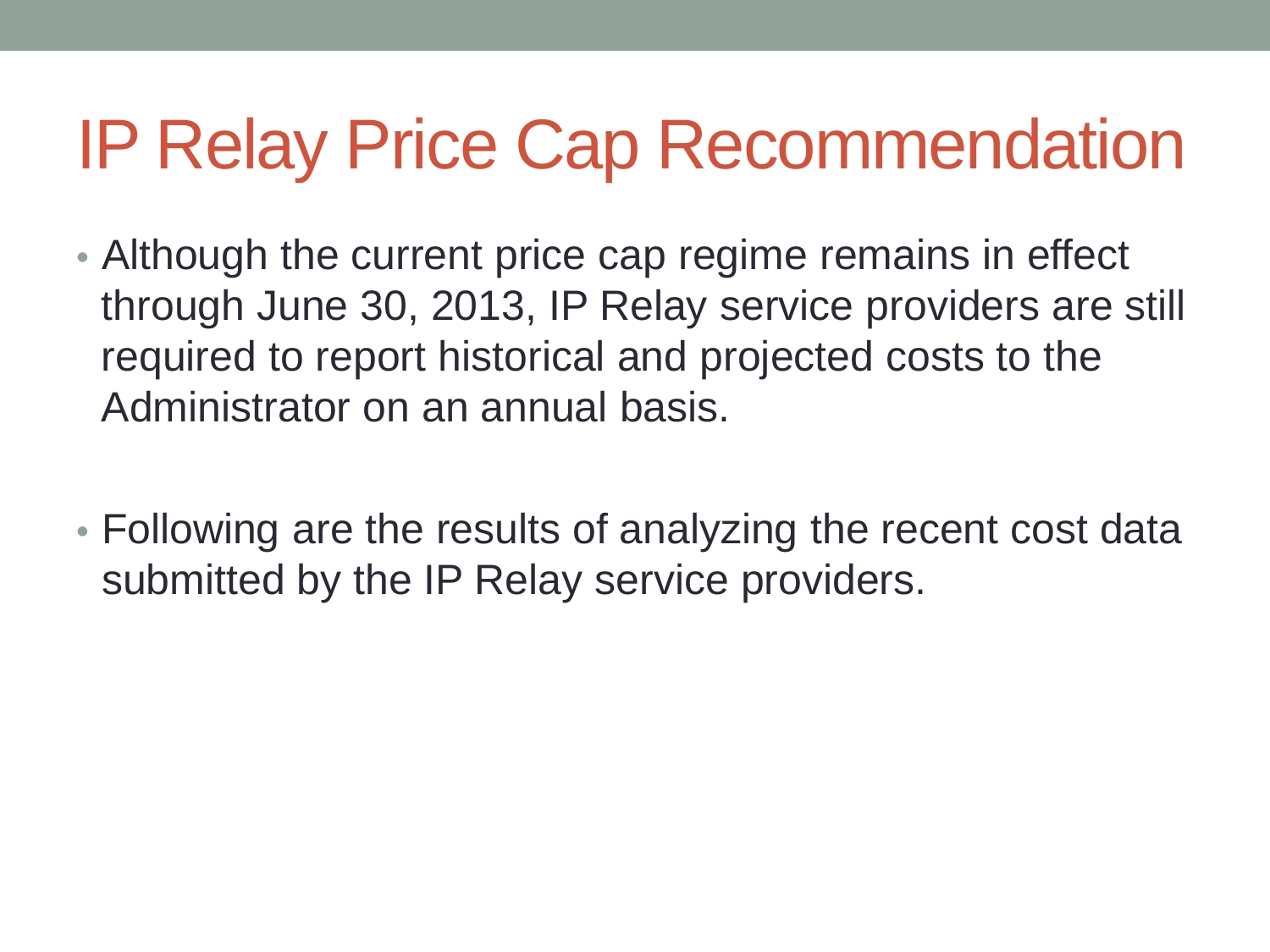### IP Relay Price Cap Recommendation

- Although the current price cap regime remains in effect through June 30, 2013, IP Relay service providers are still required to report historical and projected costs to the Administrator on an annual basis.
- Following are the results of analyzing the recent cost data submitted by the IP Relay service providers.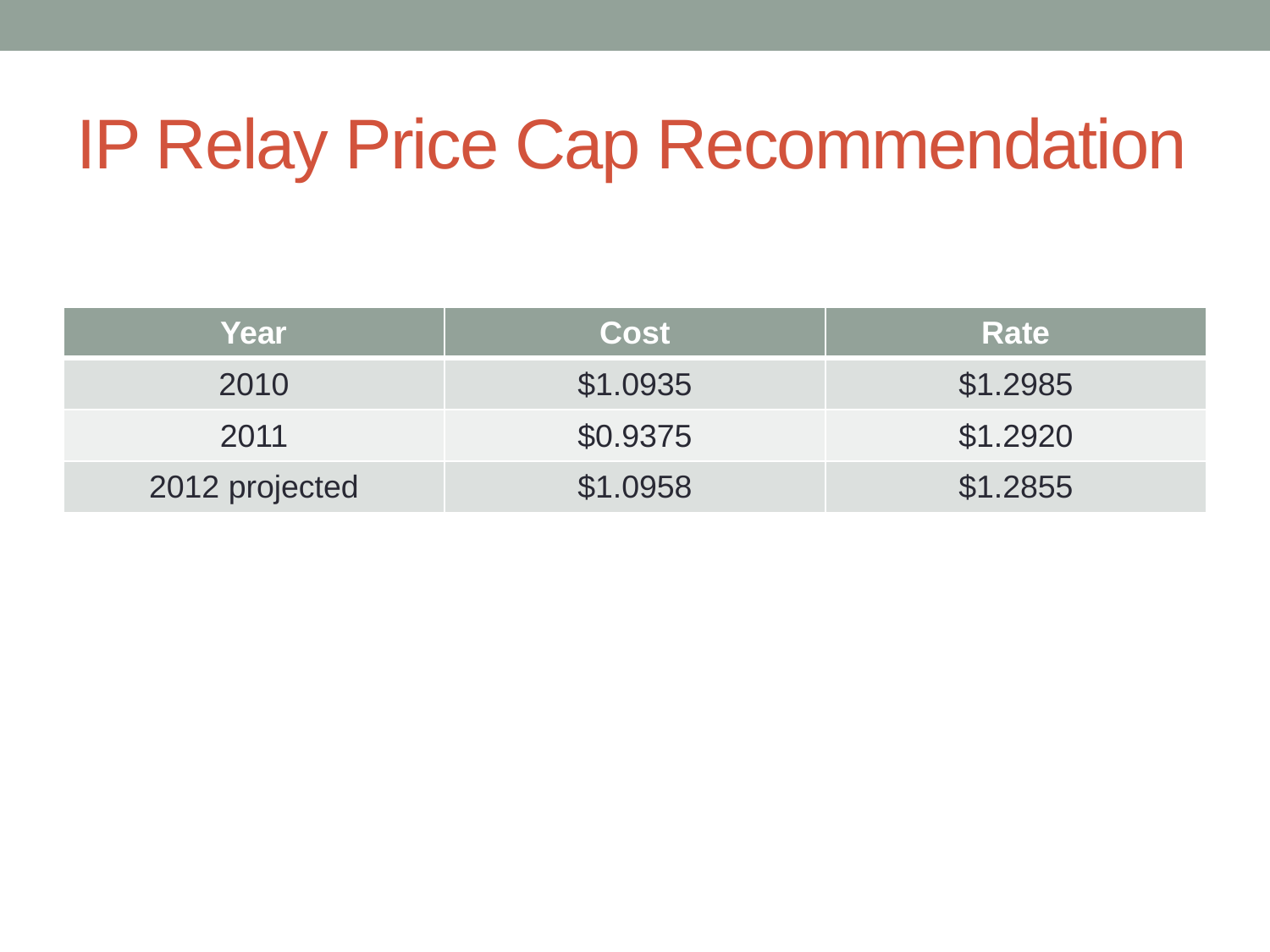### IP Relay Price Cap Recommendation

| Year           | Cost     | <b>Rate</b> |
|----------------|----------|-------------|
| 2010           | \$1.0935 | \$1.2985    |
| 2011           | \$0.9375 | \$1.2920    |
| 2012 projected | \$1.0958 | \$1.2855    |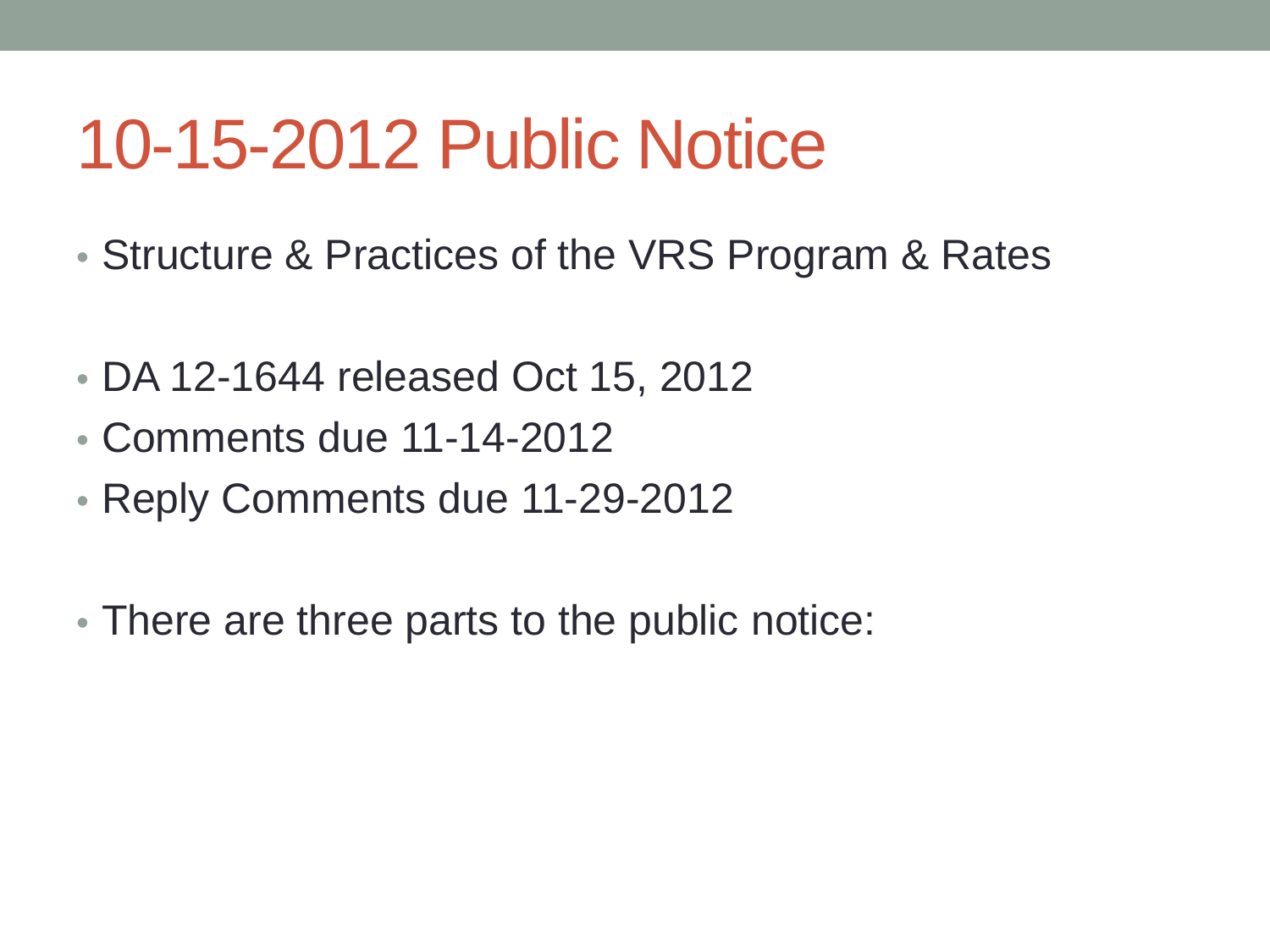#### 10-15-2012 Public Notice

- Structure & Practices of the VRS Program & Rates
- DA 12-1644 released Oct 15, 2012
- Comments due 11-14-2012
- Reply Comments due 11-29-2012
- There are three parts to the public notice: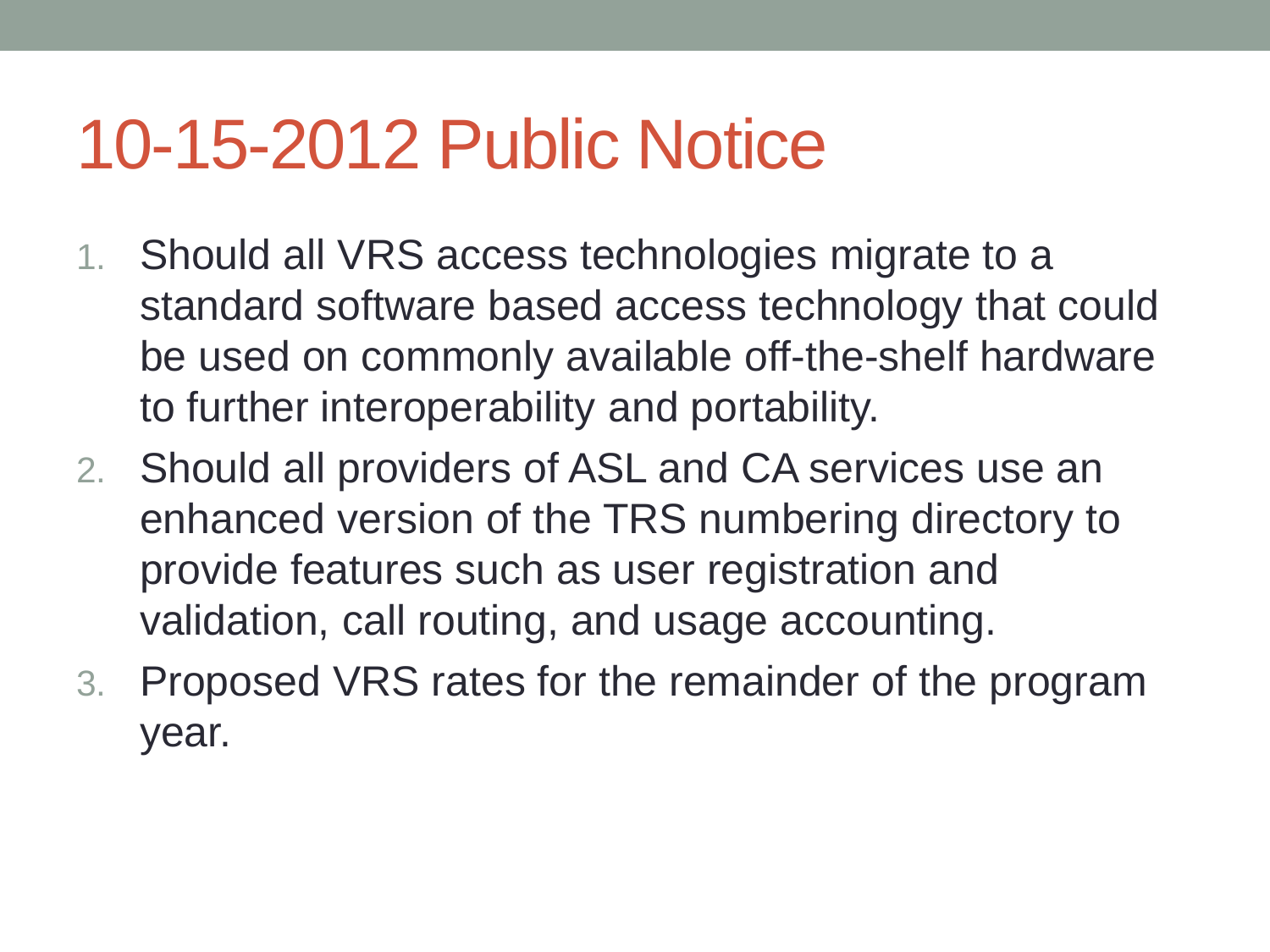### 10-15-2012 Public Notice

- 1. Should all VRS access technologies migrate to a standard software based access technology that could be used on commonly available off-the-shelf hardware to further interoperability and portability.
- 2. Should all providers of ASL and CA services use an enhanced version of the TRS numbering directory to provide features such as user registration and validation, call routing, and usage accounting.
- 3. Proposed VRS rates for the remainder of the program year.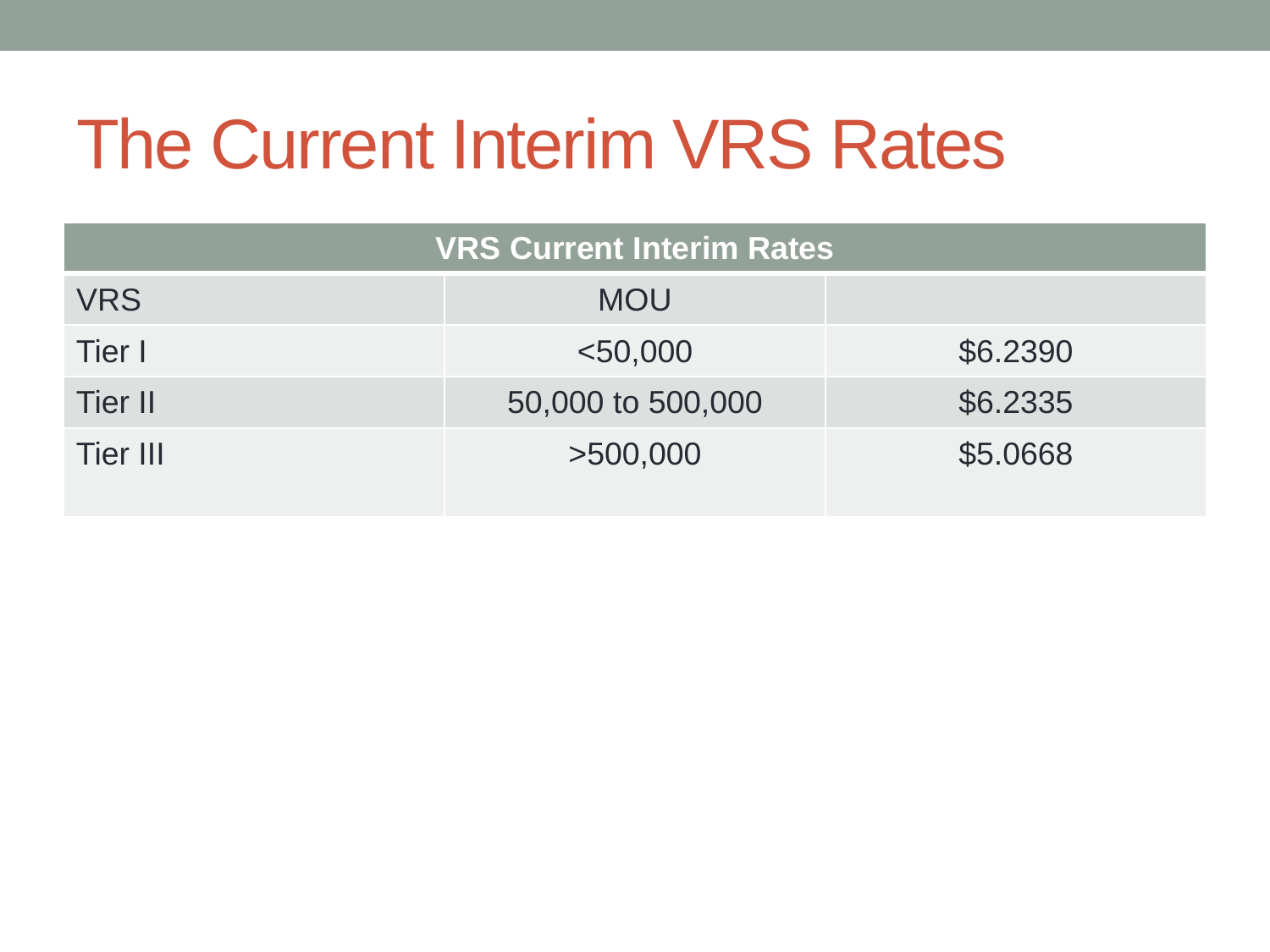## The Current Interim VRS Rates

| <b>VRS Current Interim Rates</b> |                   |          |  |  |  |  |
|----------------------------------|-------------------|----------|--|--|--|--|
| <b>VRS</b>                       | <b>MOU</b>        |          |  |  |  |  |
| Tier I                           | $<$ 50,000        | \$6.2390 |  |  |  |  |
| Tier II                          | 50,000 to 500,000 | \$6.2335 |  |  |  |  |
| <b>Tier III</b>                  | >500,000          | \$5.0668 |  |  |  |  |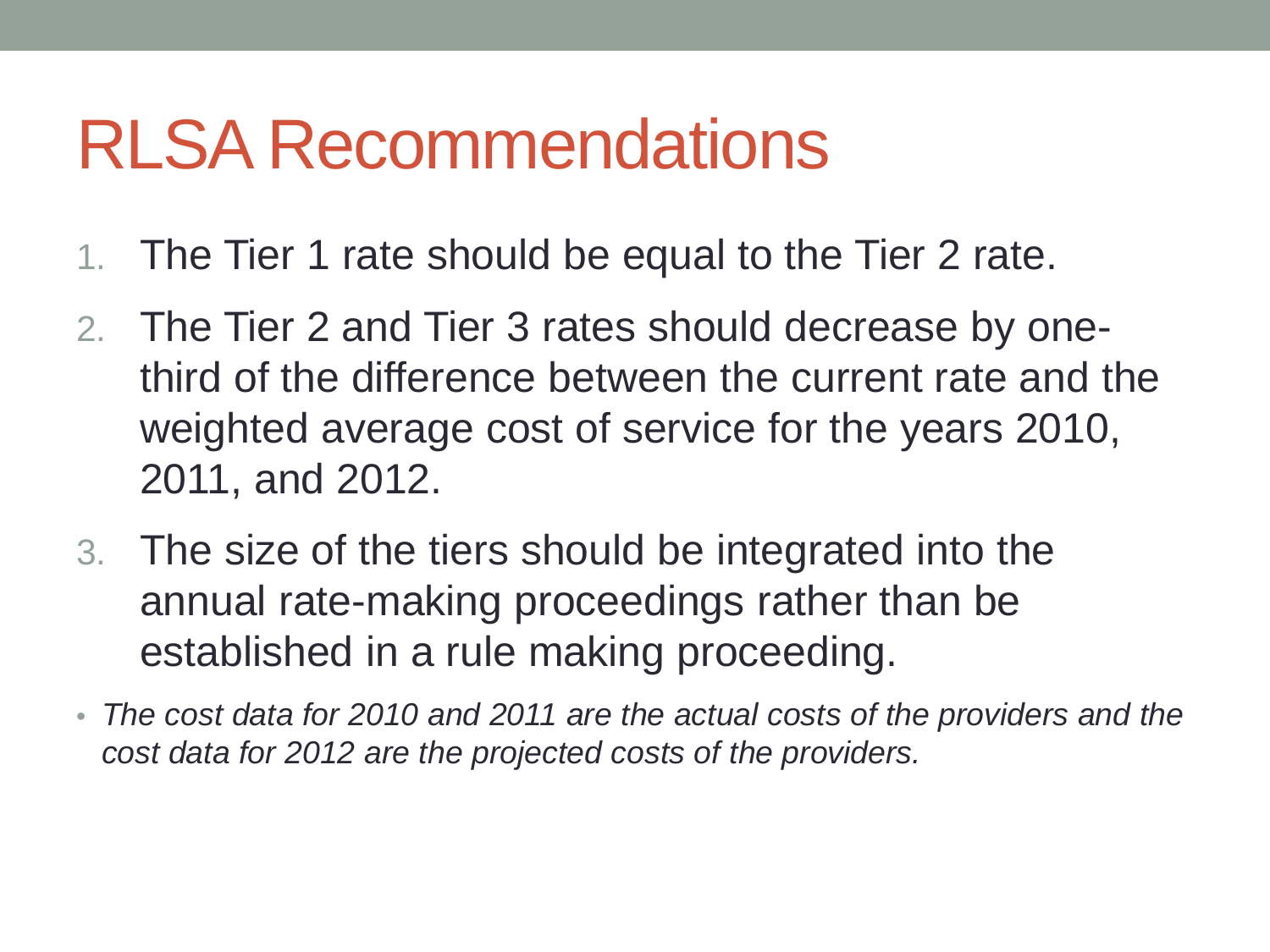#### RLSA Recommendations

- 1. The Tier 1 rate should be equal to the Tier 2 rate.
- 2. The Tier 2 and Tier 3 rates should decrease by onethird of the difference between the current rate and the weighted average cost of service for the years 2010, 2011, and 2012.
- 3. The size of the tiers should be integrated into the annual rate-making proceedings rather than be established in a rule making proceeding.
- *The cost data for 2010 and 2011 are the actual costs of the providers and the cost data for 2012 are the projected costs of the providers.*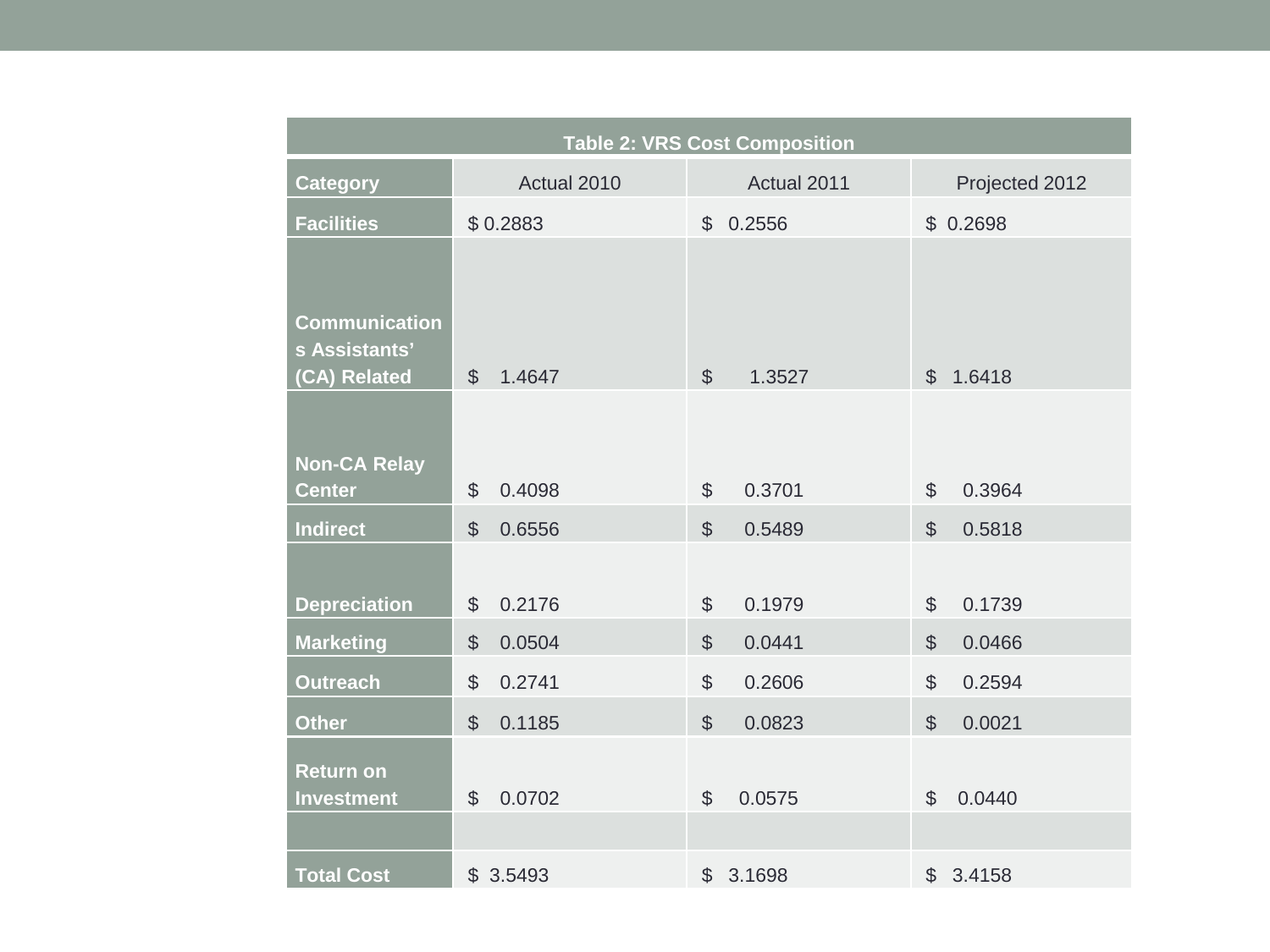| <b>Table 2: VRS Cost Composition</b>                  |                         |                         |                          |  |  |  |  |  |
|-------------------------------------------------------|-------------------------|-------------------------|--------------------------|--|--|--|--|--|
| <b>Category</b>                                       | Actual 2010             | Actual 2011             | Projected 2012           |  |  |  |  |  |
| <b>Facilities</b>                                     | \$0.2883                | 0.2556<br>$\mathcal{S}$ | \$0.2698                 |  |  |  |  |  |
| <b>Communication</b><br>s Assistants'<br>(CA) Related | $\mathcal{S}$<br>1.4647 | $\mathcal{S}$<br>1.3527 | 1.6418<br>$\mathfrak{L}$ |  |  |  |  |  |
| <b>Non-CA Relay</b>                                   | \$                      | $\frac{1}{2}$           | 0.3964                   |  |  |  |  |  |
| <b>Center</b>                                         | 0.4098                  | 0.3701                  | $\$\$                    |  |  |  |  |  |
| <b>Indirect</b>                                       | \$                      | $\mathcal{S}$           | $\mathbb{S}$             |  |  |  |  |  |
|                                                       | 0.6556                  | 0.5489                  | 0.5818                   |  |  |  |  |  |
| <b>Depreciation</b>                                   | 0.2176                  | 0.1979                  | 0.1739                   |  |  |  |  |  |
|                                                       | \$                      | \$                      | $\$\$                    |  |  |  |  |  |
| <b>Marketing</b>                                      | $\mathcal{L}$           | $\mathcal{L}$           | $\mathcal{L}$            |  |  |  |  |  |
|                                                       | 0.0504                  | 0.0441                  | 0.0466                   |  |  |  |  |  |
| <b>Outreach</b>                                       | \$                      | $\mathcal{L}$           | $\mathcal{S}$            |  |  |  |  |  |
|                                                       | 0.2741                  | 0.2606                  | 0.2594                   |  |  |  |  |  |
| <b>Other</b>                                          | $\frac{1}{2}$           | $\mathcal{L}$           | $\mathbb{S}$             |  |  |  |  |  |
|                                                       | 0.1185                  | 0.0823                  | 0.0021                   |  |  |  |  |  |
| <b>Return on</b>                                      | \$                      | $\mathcal{S}$           | 0.0440                   |  |  |  |  |  |
| <b>Investment</b>                                     | 0.0702                  | 0.0575                  | $\mathcal{S}$            |  |  |  |  |  |
| <b>Total Cost</b>                                     | \$3.5493                | $\mathcal{S}$<br>3.1698 | $\mathbb{S}$<br>3.4158   |  |  |  |  |  |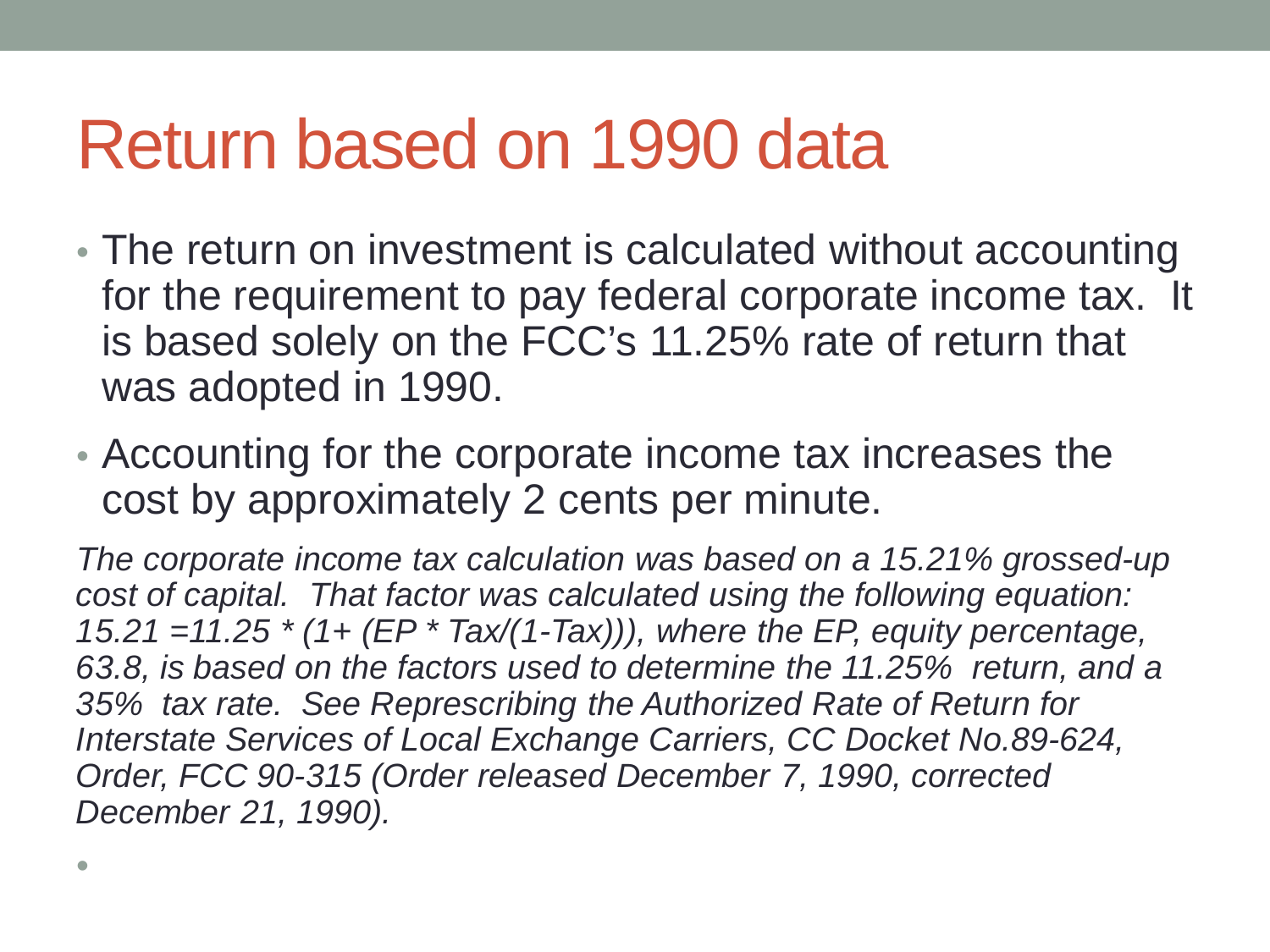#### Return based on 1990 data

•

- The return on investment is calculated without accounting for the requirement to pay federal corporate income tax. It is based solely on the FCC's 11.25% rate of return that was adopted in 1990.
- Accounting for the corporate income tax increases the cost by approximately 2 cents per minute.

*The corporate income tax calculation was based on a 15.21% grossed-up cost of capital. That factor was calculated using the following equation: 15.21 =11.25 \* (1+ (EP \* Tax/(1-Tax))), where the EP, equity percentage, 63.8, is based on the factors used to determine the 11.25% return, and a 35% tax rate. See Represcribing the Authorized Rate of Return for Interstate Services of Local Exchange Carriers, CC Docket No.89-624, Order, FCC 90-315 (Order released December 7, 1990, corrected December 21, 1990).*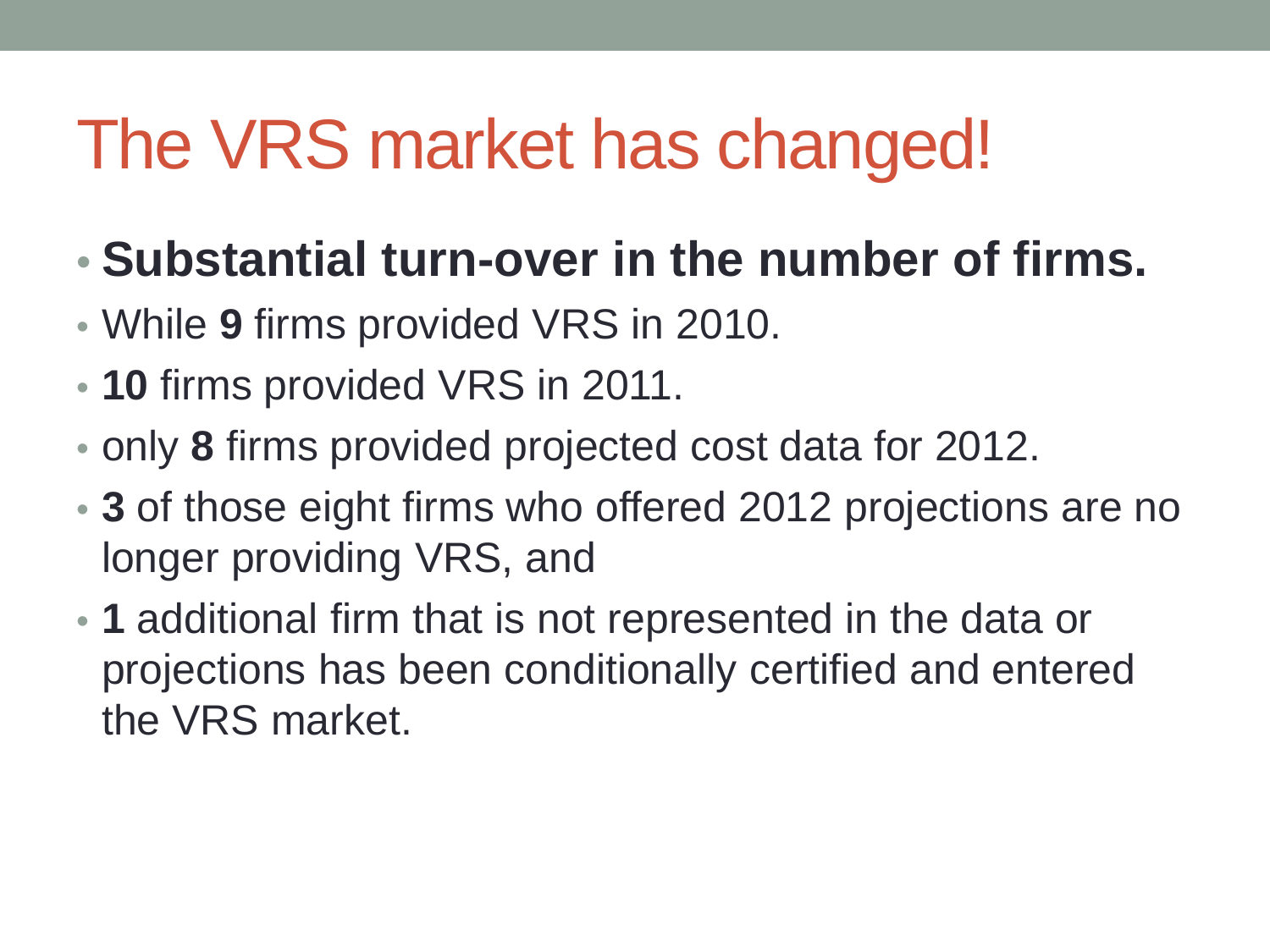### The VRS market has changed!

- **Substantial turn-over in the number of firms.**
- While **9** firms provided VRS in 2010.
- **10** firms provided VRS in 2011.
- only **8** firms provided projected cost data for 2012.
- **3** of those eight firms who offered 2012 projections are no longer providing VRS, and
- **1** additional firm that is not represented in the data or projections has been conditionally certified and entered the VRS market.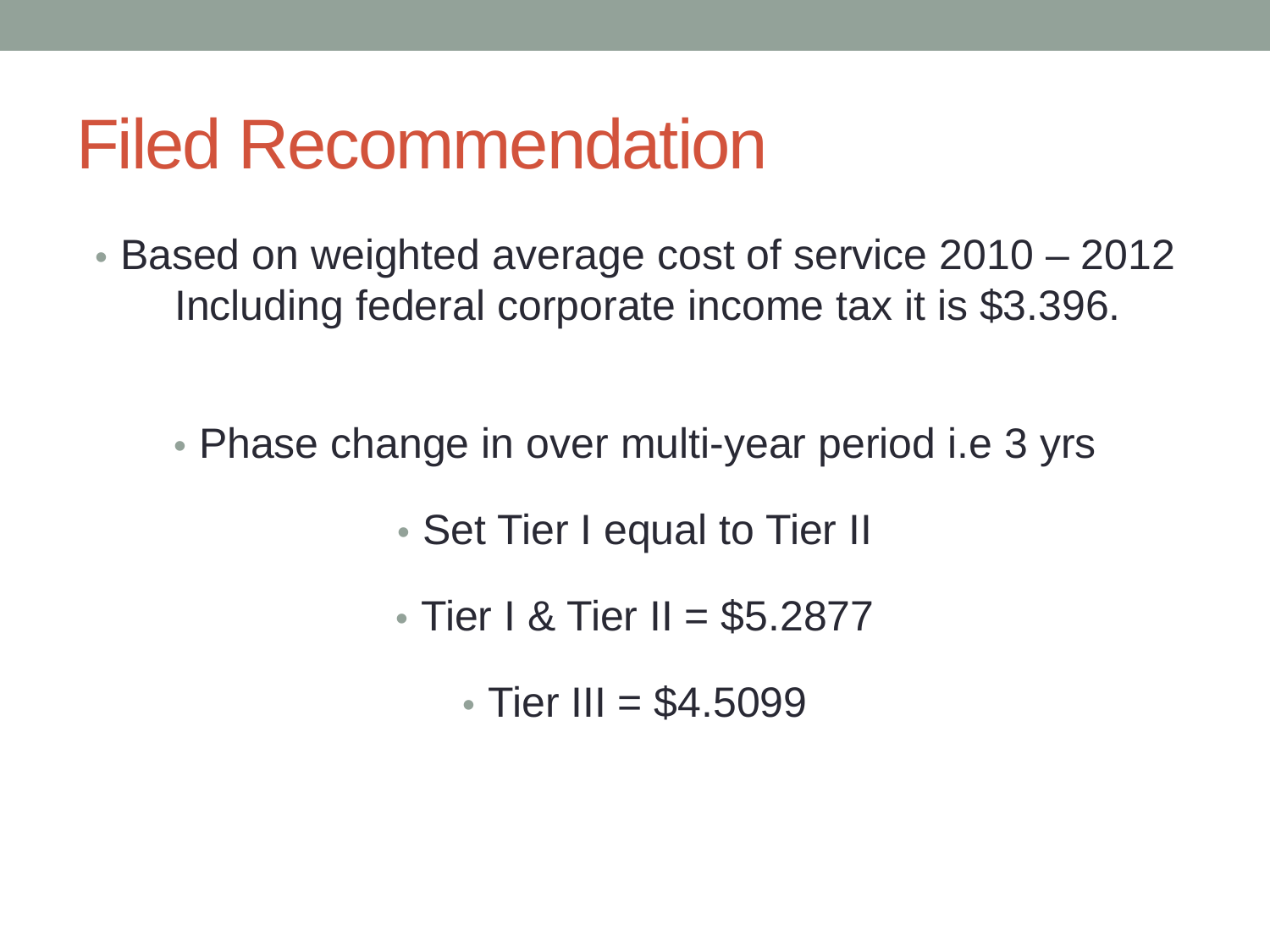#### Filed Recommendation

- Based on weighted average cost of service 2010 2012 Including federal corporate income tax it is \$3.396.
	- Phase change in over multi-year period i.e 3 yrs
		- Set Tier I equal to Tier II
		- Tier I & Tier II =  $$5.2877$ 
			- Tier III = \$4.5099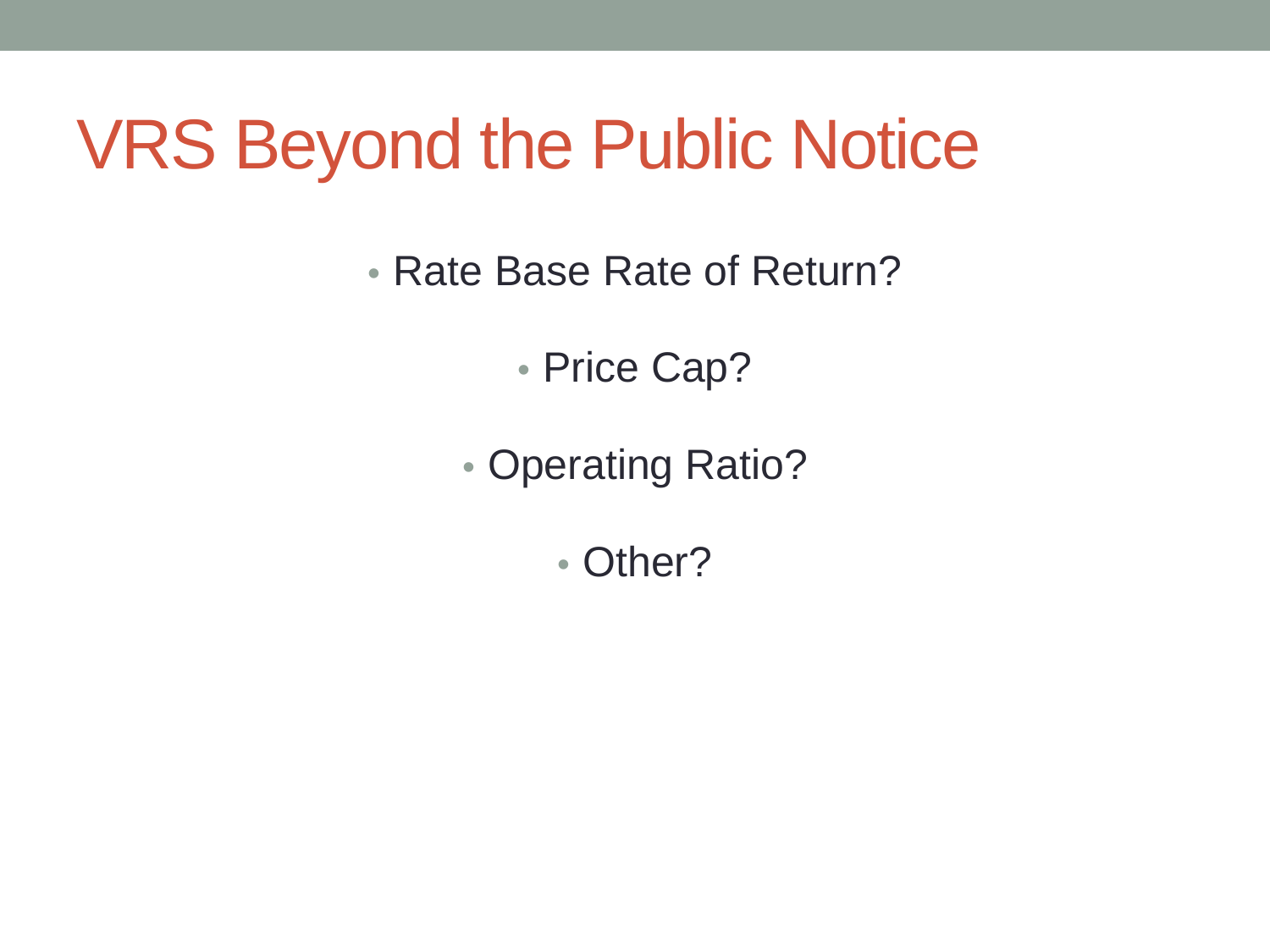#### VRS Beyond the Public Notice

• Rate Base Rate of Return?

• Price Cap?

• Operating Ratio?

• Other?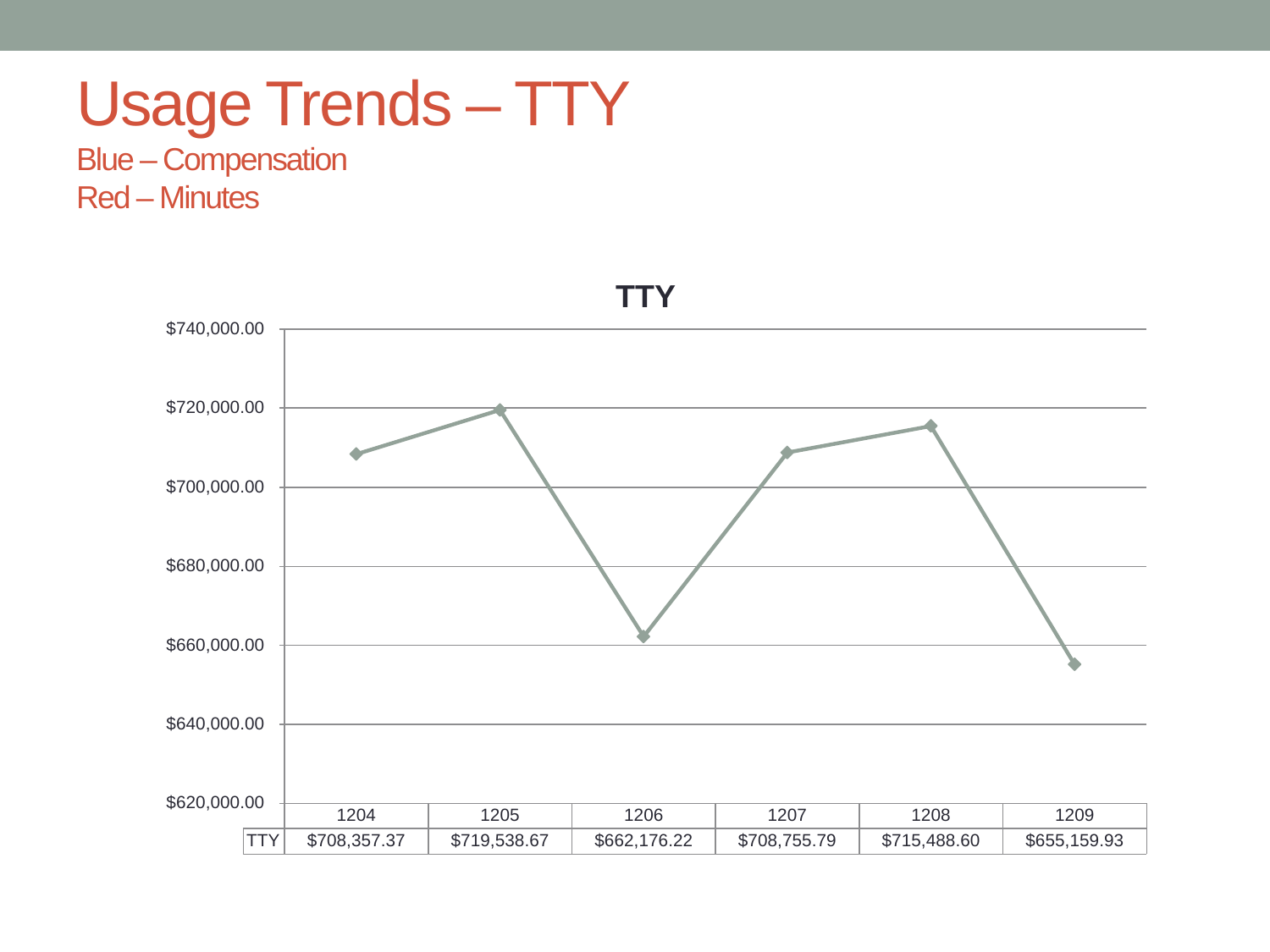#### Usage Trends – TTY

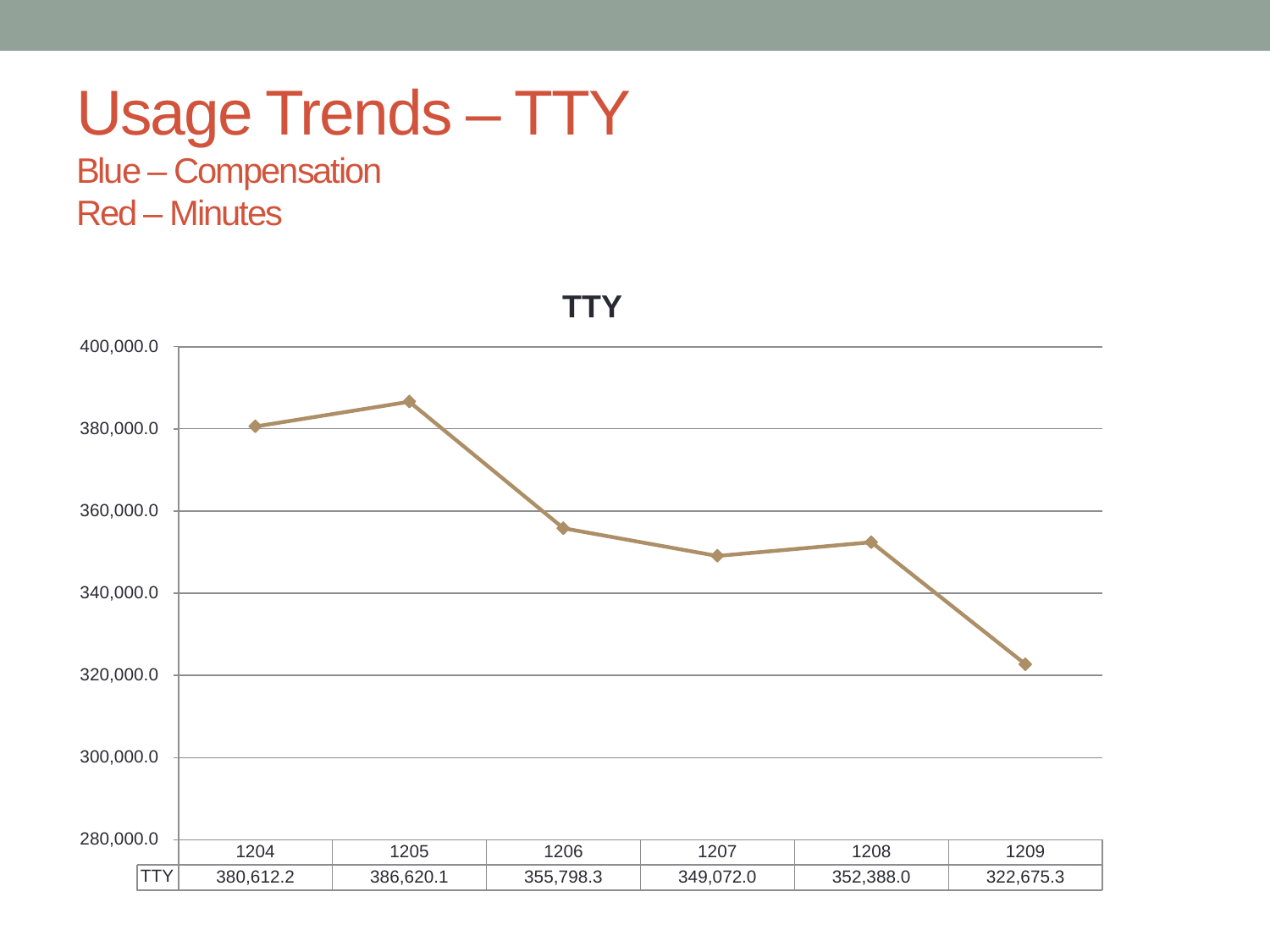#### Usage Trends – TTY

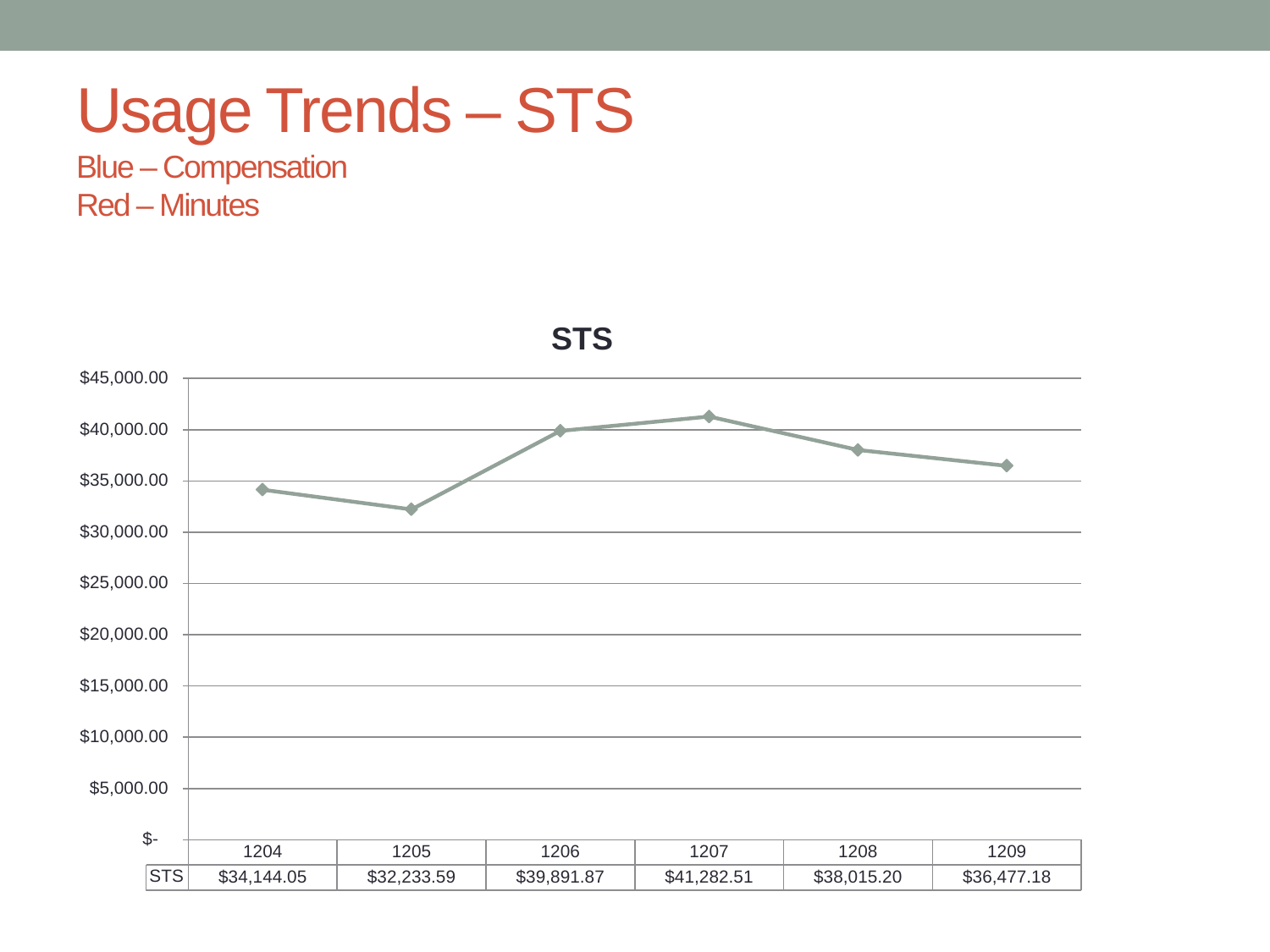#### Usage Trends – STS

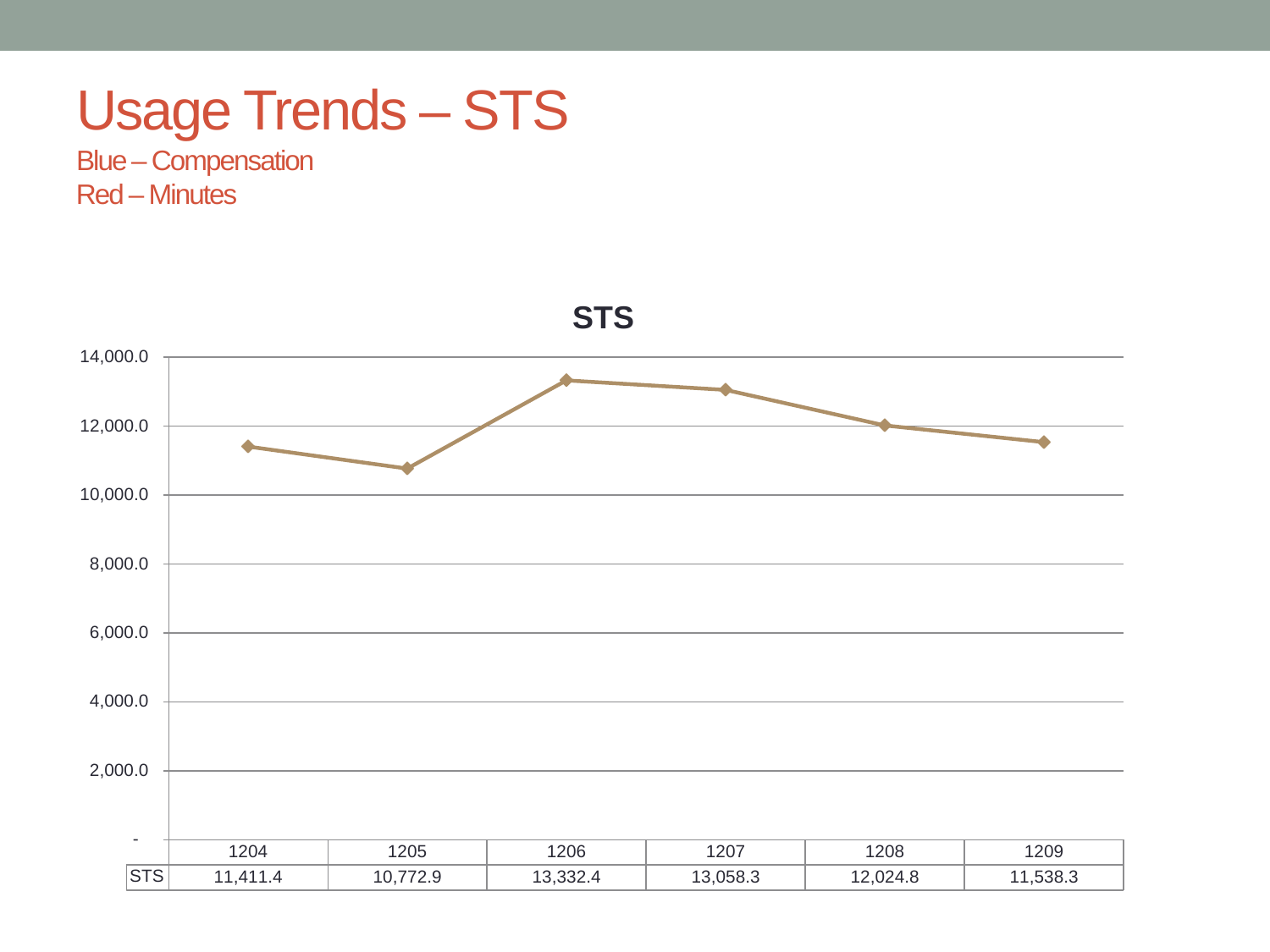#### Usage Trends – STS

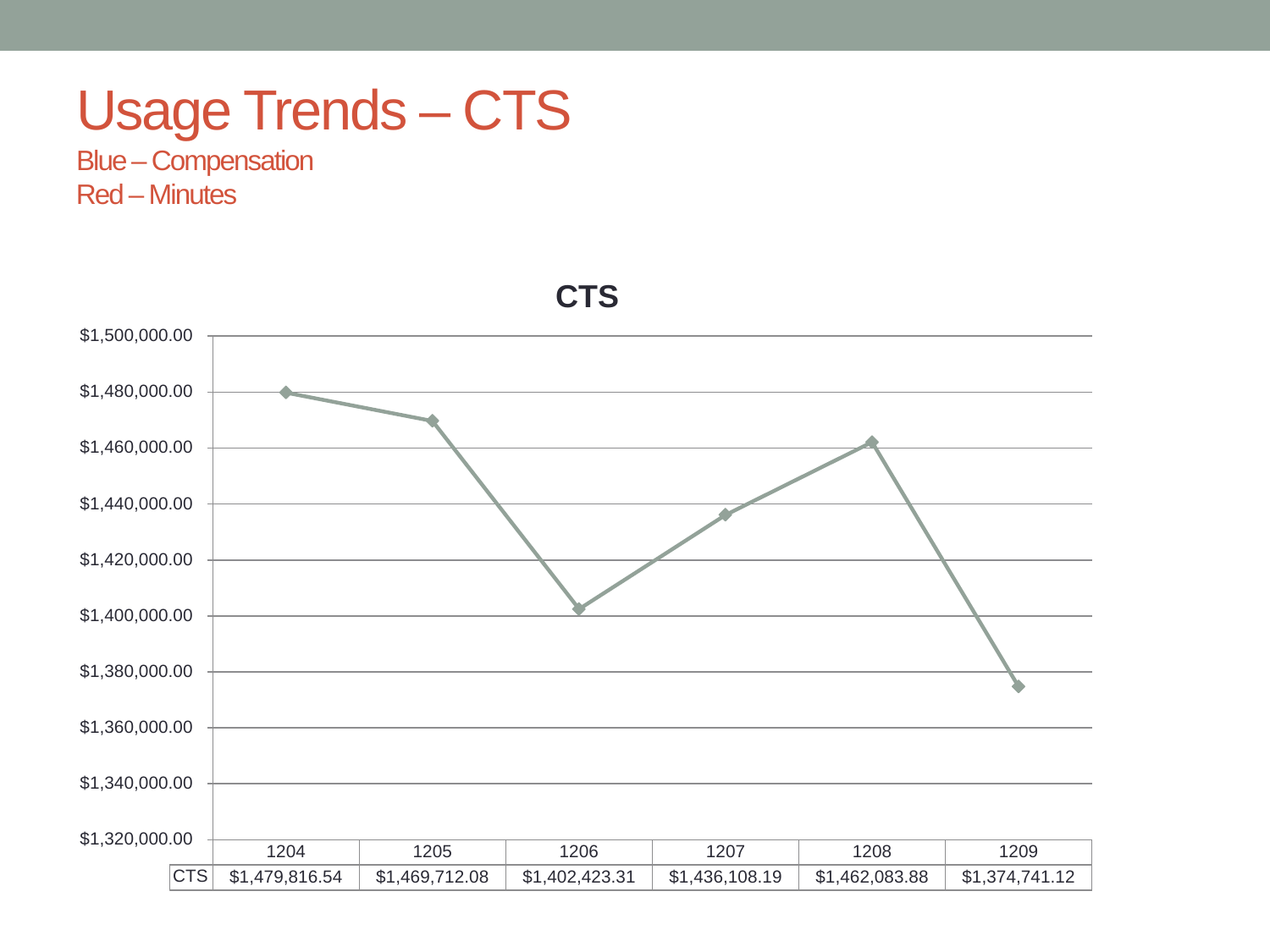#### Usage Trends – CTS

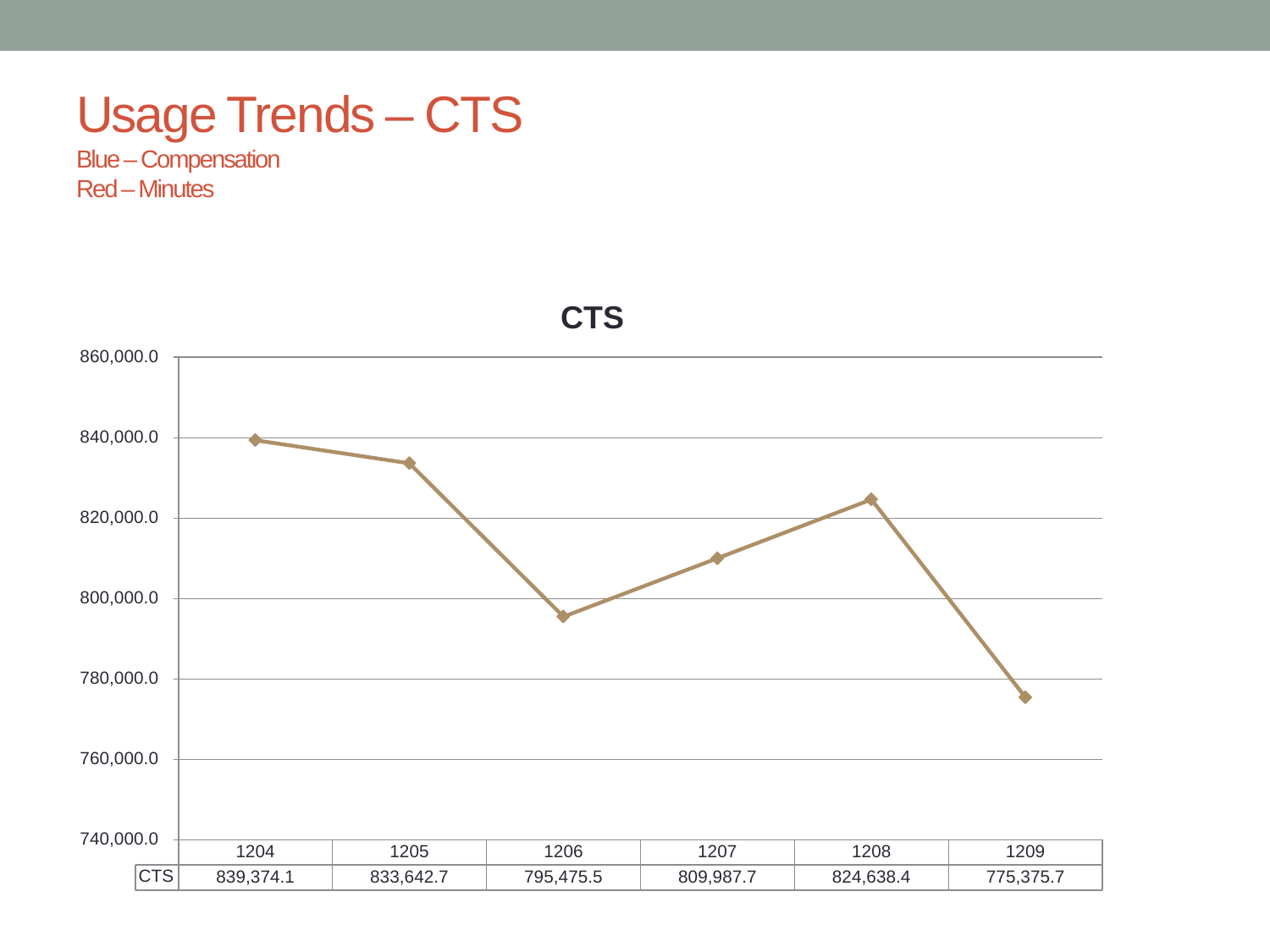#### Usage Trends – CTS

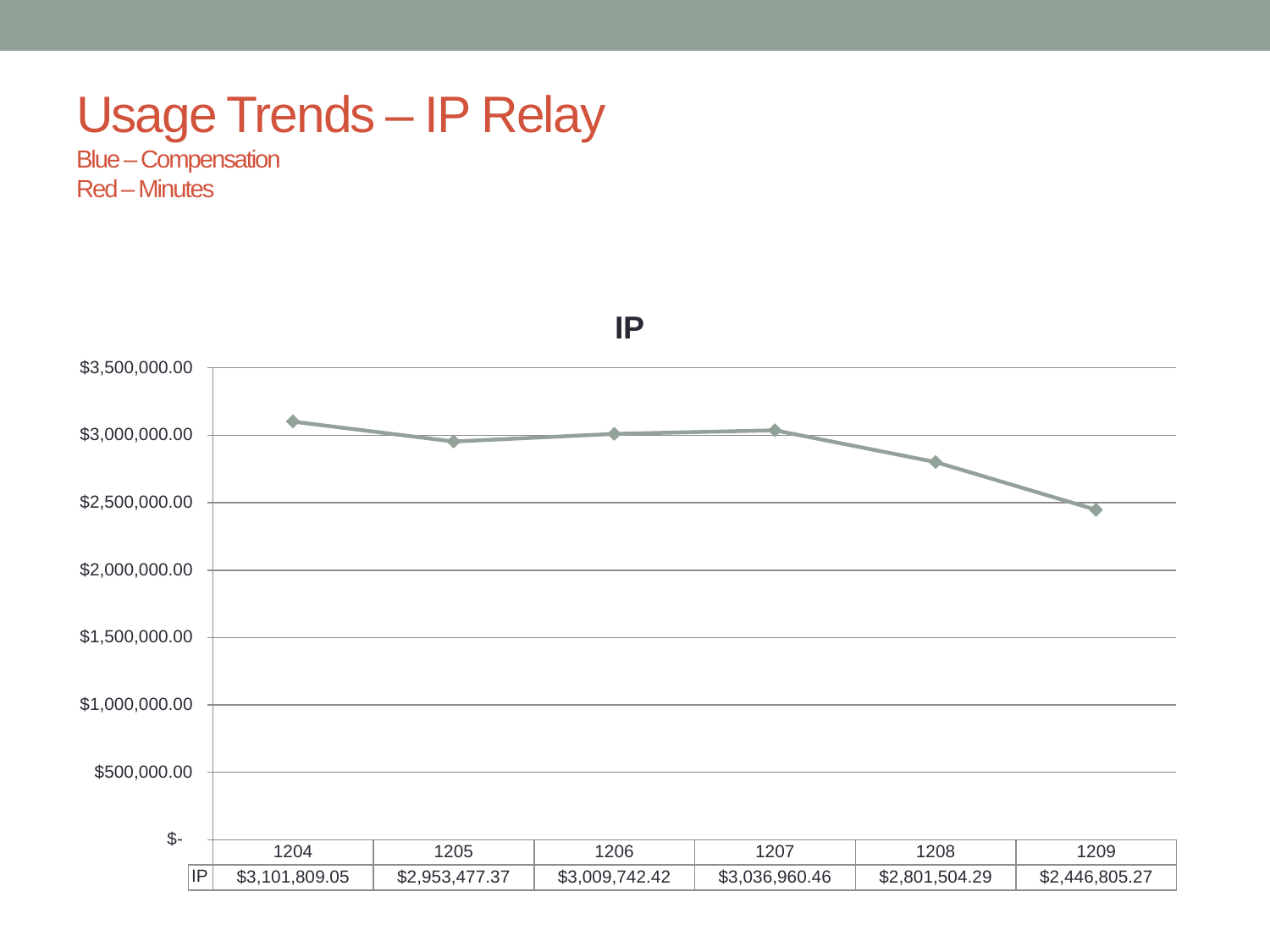#### Usage Trends – IP Relay

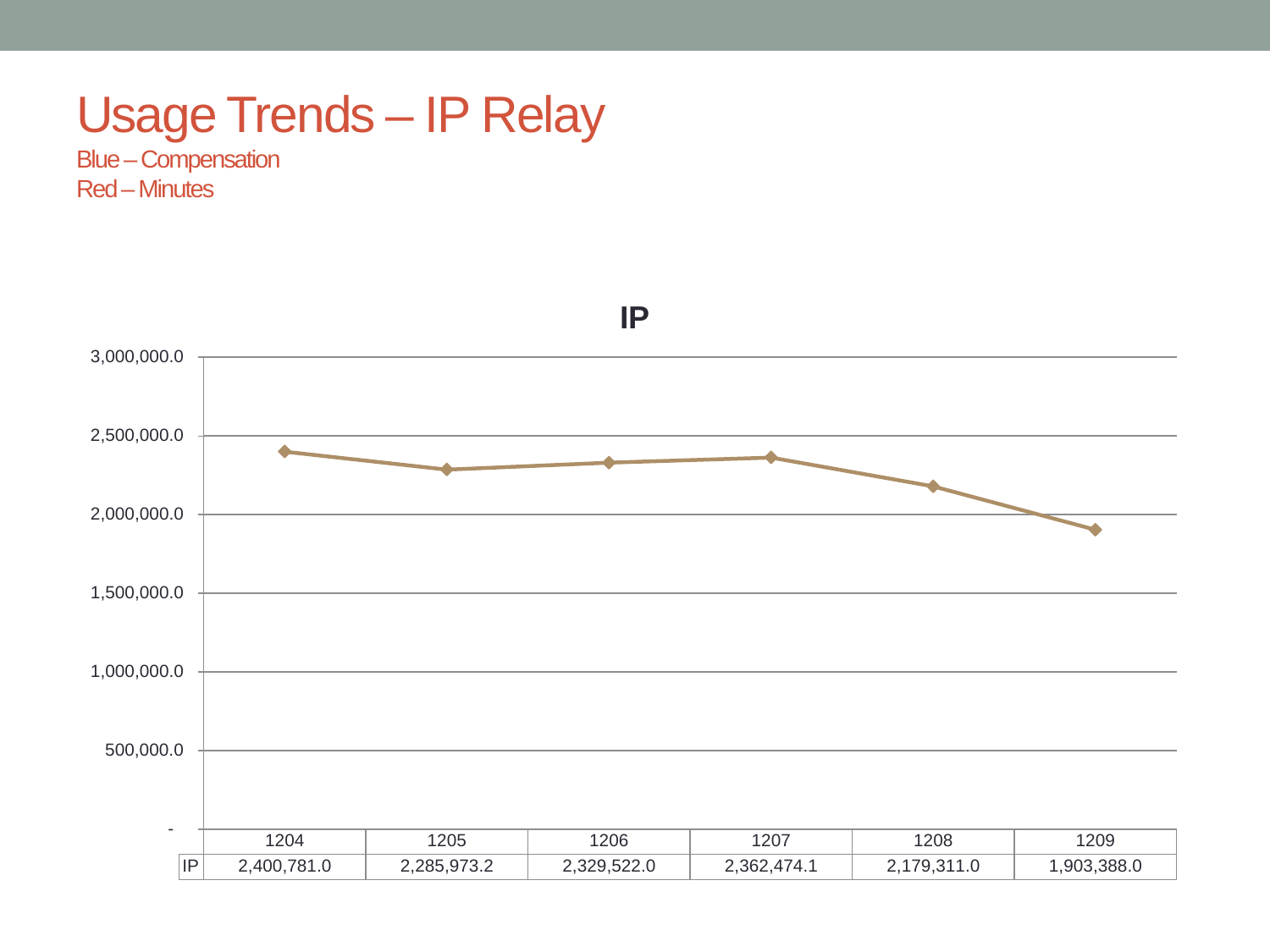#### Usage Trends – IP Relay

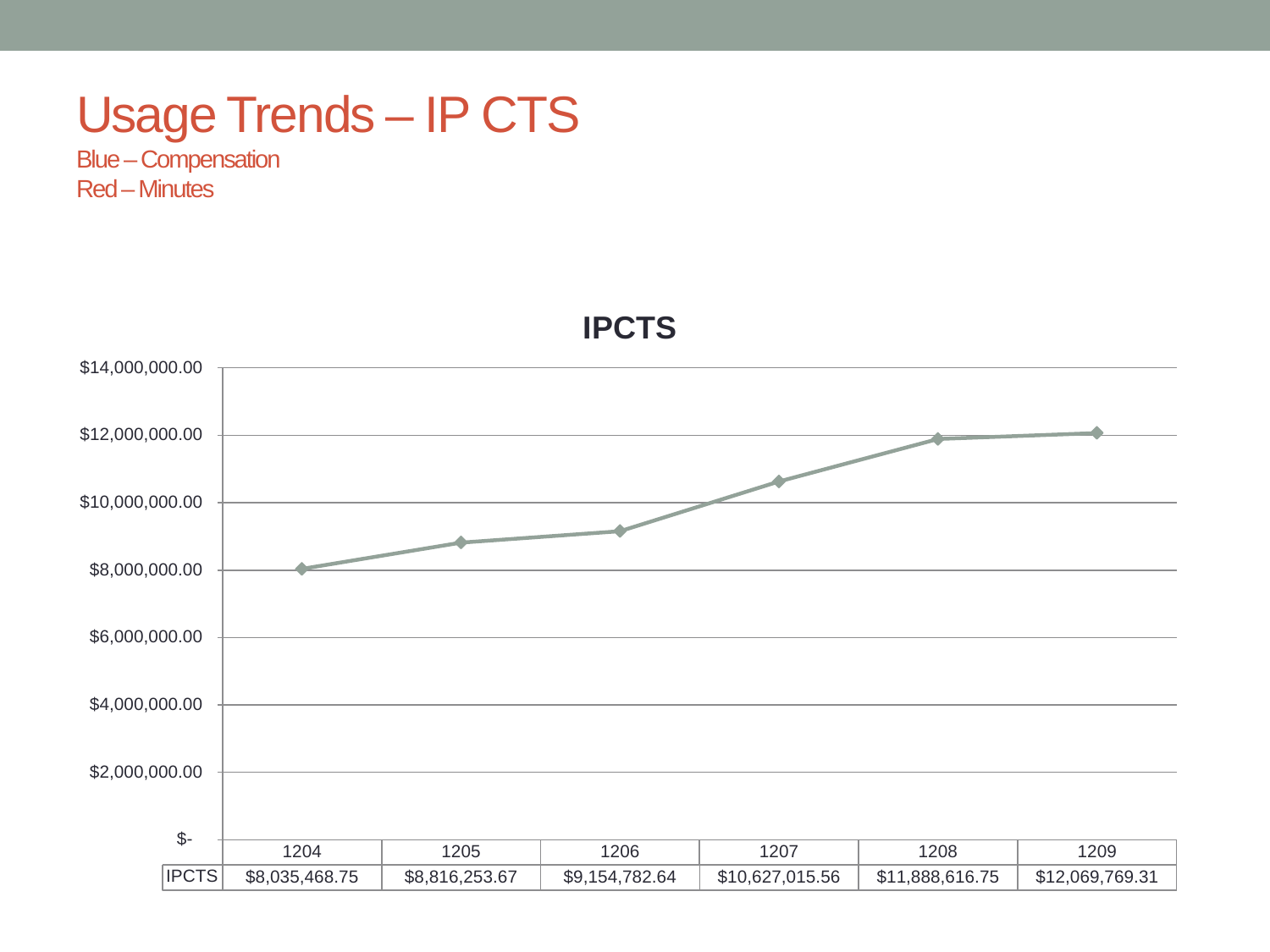#### Usage Trends – IP CTS

Blue –Compensation Red –Minutes



**IPCTS**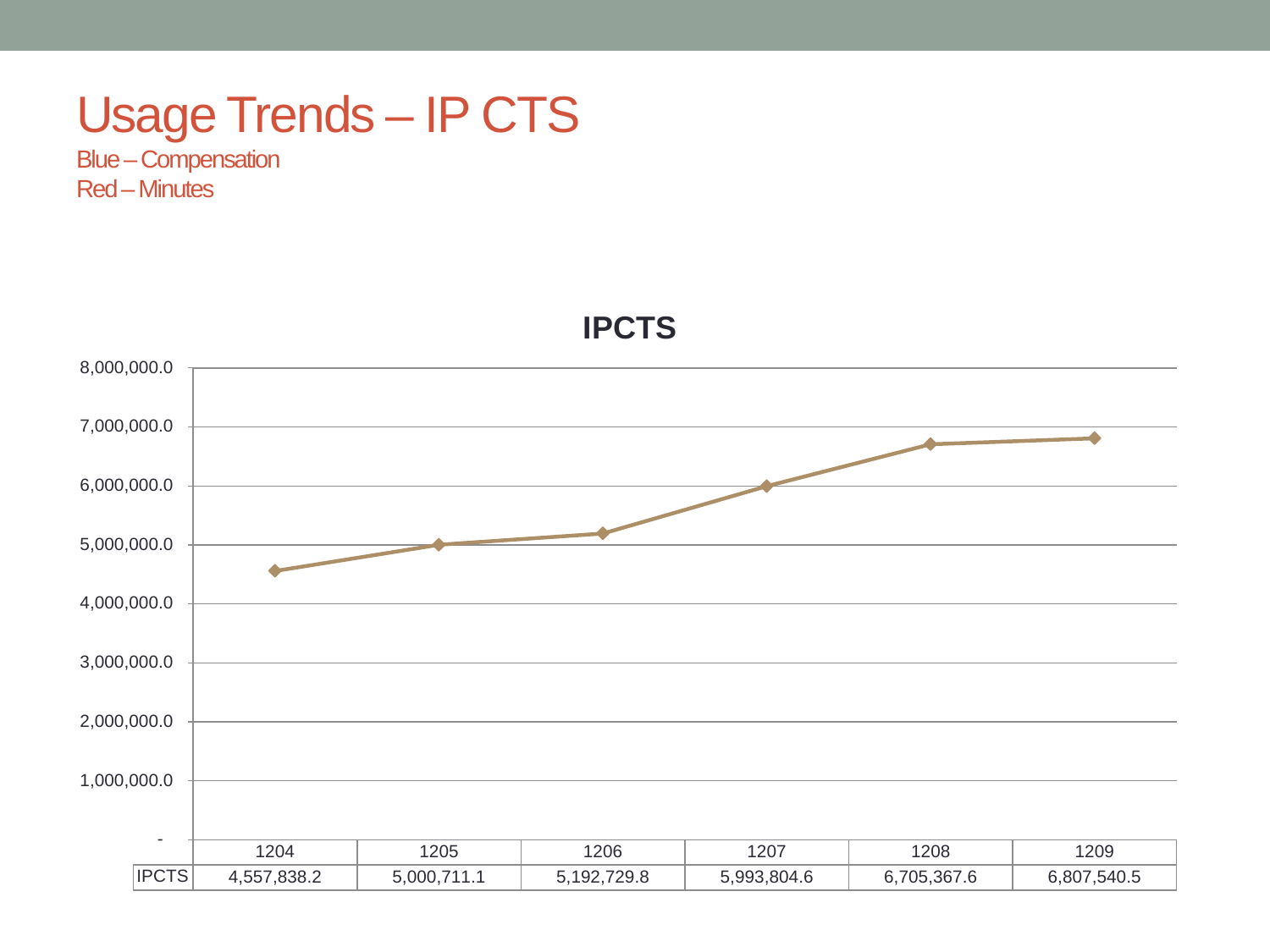#### Usage Trends – IP CTS

Blue –Compensation Red –Minutes



**IPCTS**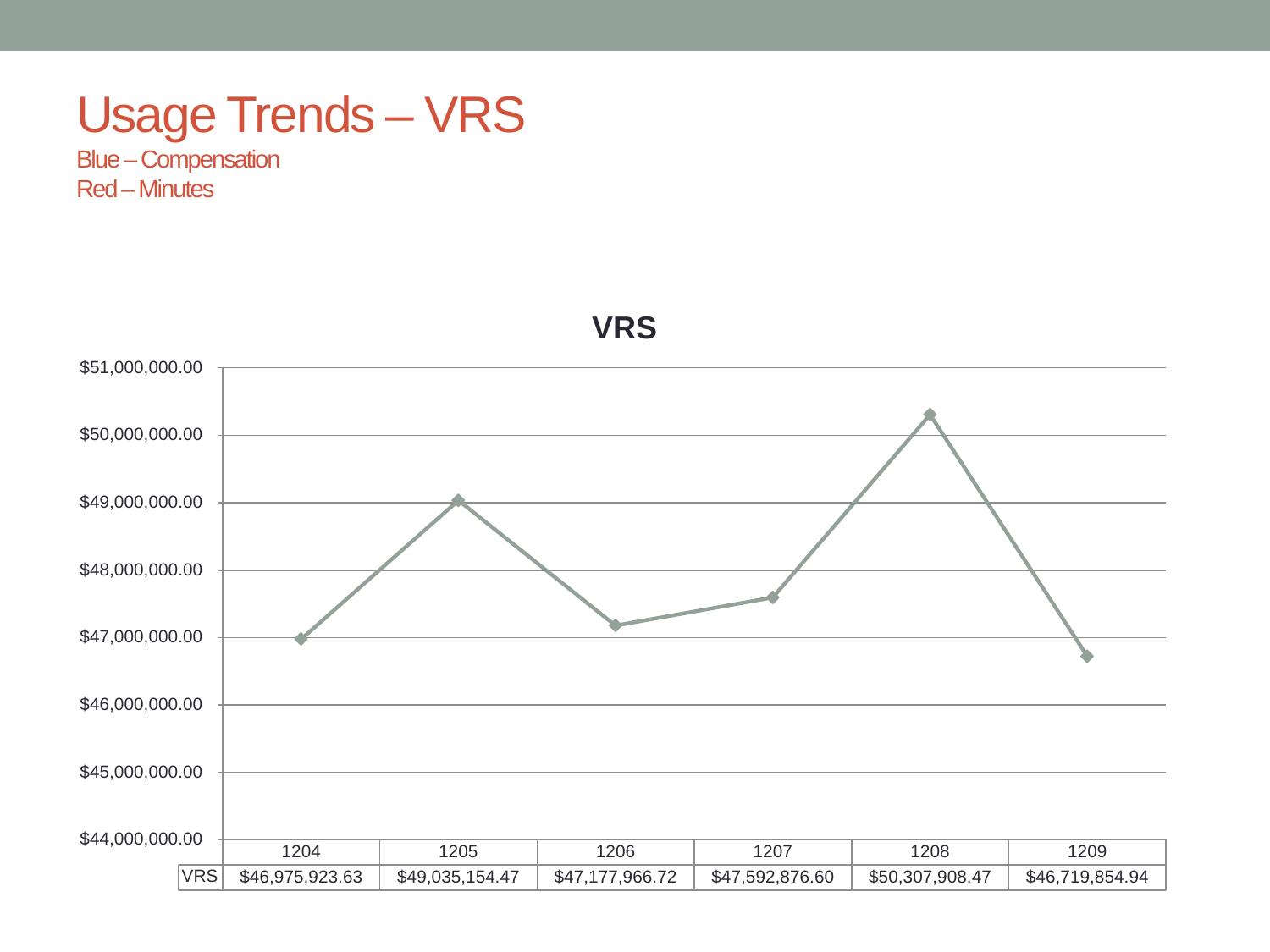#### Usage Trends – VRS

Blue –Compensation Red –Minutes



**VRS**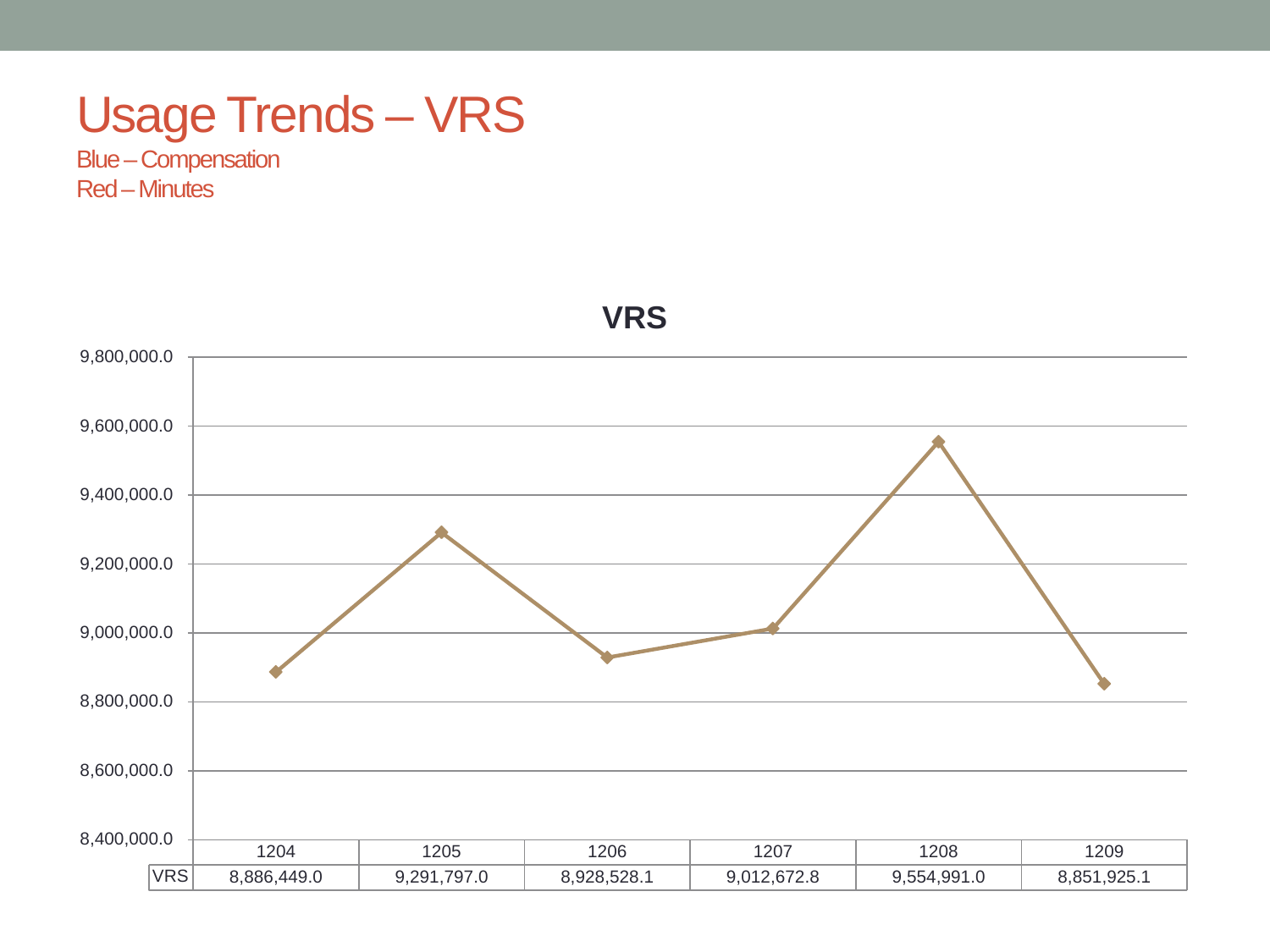#### Usage Trends – VRS

Blue –Compensation Red –Minutes



**VRS**